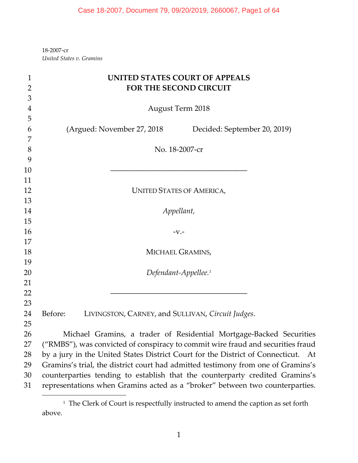‐2007‐cr *United States v. Gramins*

| $\mathbf{1}$   | <b>UNITED STATES COURT OF APPEALS</b>                                             |
|----------------|-----------------------------------------------------------------------------------|
| $\overline{2}$ | FOR THE SECOND CIRCUIT                                                            |
| 3              |                                                                                   |
| $\overline{4}$ | <b>August Term 2018</b>                                                           |
| 5              |                                                                                   |
| 6              | (Argued: November 27, 2018)<br>Decided: September 20, 2019)                       |
| 7              |                                                                                   |
| 8              | No. 18-2007-cr                                                                    |
| 9              |                                                                                   |
| 10             |                                                                                   |
| 11             |                                                                                   |
| 12             | <b>UNITED STATES OF AMERICA,</b>                                                  |
| 13             |                                                                                   |
| 14             | Appellant,                                                                        |
| 15             |                                                                                   |
| 16             | $-V.$ -                                                                           |
| 17             |                                                                                   |
| 18             | MICHAEL GRAMINS,                                                                  |
| 19             |                                                                                   |
| 20             | Defendant-Appellee. <sup>1</sup>                                                  |
| 21<br>22       |                                                                                   |
| 23             |                                                                                   |
| 24             | Before:<br>LIVINGSTON, CARNEY, and SULLIVAN, Circuit Judges.                      |
| 25             |                                                                                   |
| 26             | Michael Gramins, a trader of Residential Mortgage-Backed Securities               |
| 27             | ("RMBS"), was convicted of conspiracy to commit wire fraud and securities fraud   |
| 28             | by a jury in the United States District Court for the District of Connecticut. At |
| 29             | Gramins's trial, the district court had admitted testimony from one of Gramins's  |
| 30             | counterparties tending to establish that the counterparty credited Gramins's      |
| 31             | representations when Gramins acted as a "broker" between two counterparties.      |

 $^{\rm 1}$  The Clerk of Court is respectfully instructed to amend the caption as set forth above.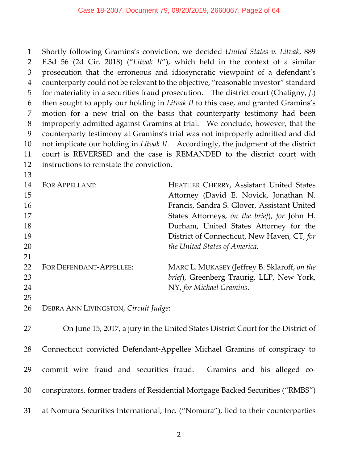Shortly following Gramins's conviction, we decided *United States v. Litvak*, 889 F.3d 56 (2d Cir. 2018) ("*Litvak II*"), which held in the context of a similar prosecution that the erroneous and idiosyncratic viewpoint of a defendant's counterparty could not be relevant to the objective, "reasonable investor" standard for materiality in a securities fraud prosecution. The district court (Chatigny, *J*.) then sought to apply our holding in *Litvak II* to this case, and granted Gramins's motion for a new trial on the basis that counterparty testimony had been improperly admitted against Gramins at trial. We conclude, however, that the counterparty testimony at Gramins's trial was not improperly admitted and did not implicate our holding in *Litvak II*. Accordingly, the judgment of the district court is REVERSED and the case is REMANDED to the district court with instructions to reinstate the conviction.

| 14<br>15 | FOR APPELLANT:          | <b>HEATHER CHERRY, Assistant United States</b><br>Attorney (David E. Novick, Jonathan N. |
|----------|-------------------------|------------------------------------------------------------------------------------------|
| 16       |                         | Francis, Sandra S. Glover, Assistant United                                              |
| 17       |                         | States Attorneys, on the brief), for John H.                                             |
| 18       |                         | Durham, United States Attorney for the                                                   |
| 19       |                         | District of Connecticut, New Haven, CT, for                                              |
| 20       |                         | the United States of America.                                                            |
| 21       |                         |                                                                                          |
| 22       | FOR DEFENDANT-APPELLEE: | MARC L. MUKASEY (Jeffrey B. Sklaroff, on the                                             |
| 23       |                         | brief), Greenberg Traurig, LLP, New York,                                                |
| 24       |                         | NY, for Michael Gramins.                                                                 |
| 25       |                         |                                                                                          |

DEBRA ANN LIVINGSTON, *Circuit Judge*:

 On June 15, 2017, a jury in the United States District Court for the District of 28 Connecticut convicted Defendant-Appellee Michael Gramins of conspiracy to 29 commit wire fraud and securities fraud. Gramins and his alleged co- conspirators, former traders of Residential Mortgage Backed Securities ("RMBS") at Nomura Securities International, Inc. ("Nomura"), lied to their counterparties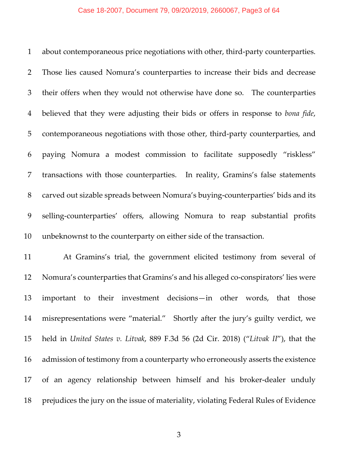#### Case 18-2007, Document 79, 09/20/2019, 2660067, Page3 of 64

 about contemporaneous price negotiations with other, third‐party counterparties. Those lies caused Nomura's counterparties to increase their bids and decrease their offers when they would not otherwise have done so. The counterparties believed that they were adjusting their bids or offers in response to *bona fide*, 5 contemporaneous negotiations with those other, third-party counterparties, and paying Nomura a modest commission to facilitate supposedly "riskless" transactions with those counterparties. In reality, Gramins's false statements 8 carved out sizable spreads between Nomura's buying-counterparties' bids and its selling‐counterparties' offers, allowing Nomura to reap substantial profits unbeknownst to the counterparty on either side of the transaction.

 At Gramins's trial, the government elicited testimony from several of 12 Nomura's counterparties that Gramins's and his alleged co-conspirators' lies were important to their investment decisions—in other words, that those misrepresentations were "material." Shortly after the jury's guilty verdict, we held in *United States v. Litvak*, 889 F.3d 56 (2d Cir. 2018) ("*Litvak II*"), that the admission of testimony from a counterparty who erroneously asserts the existence 17 of an agency relationship between himself and his broker-dealer unduly prejudices the jury on the issue of materiality, violating Federal Rules of Evidence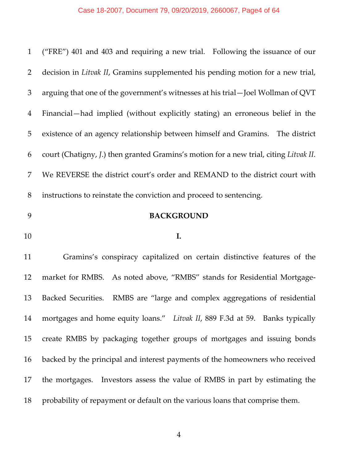# Case 18-2007, Document 79, 09/20/2019, 2660067, Page4 of 64

| $\mathbf{1}$   | ("FRE") 401 and 403 and requiring a new trial. Following the issuance of our          |
|----------------|---------------------------------------------------------------------------------------|
| 2              | decision in Litvak II, Gramins supplemented his pending motion for a new trial,       |
| 3              | arguing that one of the government's witnesses at his trial-Joel Wollman of QVT       |
| $\overline{4}$ | Financial—had implied (without explicitly stating) an erroneous belief in the         |
| 5              | existence of an agency relationship between himself and Gramins. The district         |
| 6              | court (Chatigny, J.) then granted Gramins's motion for a new trial, citing Litvak II. |
| 7              | We REVERSE the district court's order and REMAND to the district court with           |
| 8              | instructions to reinstate the conviction and proceed to sentencing.                   |
| 9              | <b>BACKGROUND</b>                                                                     |
|                |                                                                                       |
| 10             | I.                                                                                    |
| 11             | Gramins's conspiracy capitalized on certain distinctive features of the               |
| 12             | market for RMBS. As noted above, "RMBS" stands for Residential Mortgage-              |
| 13             | Backed Securities. RMBS are "large and complex aggregations of residential            |
| 14             | mortgages and home equity loans." Litvak II, 889 F.3d at 59. Banks typically          |
| 15             | create RMBS by packaging together groups of mortgages and issuing bonds               |
| 16             | backed by the principal and interest payments of the homeowners who received          |
| 17             | the mortgages. Investors assess the value of RMBS in part by estimating the           |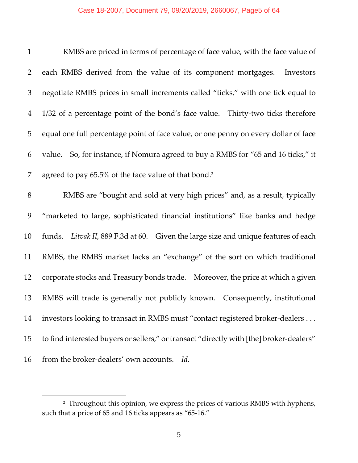### Case 18-2007, Document 79, 09/20/2019, 2660067, Page5 of 64

| $\mathbf{1}$   | RMBS are priced in terms of percentage of face value, with the face value of            |
|----------------|-----------------------------------------------------------------------------------------|
| 2              | each RMBS derived from the value of its component mortgages.<br>Investors               |
| 3              | negotiate RMBS prices in small increments called "ticks," with one tick equal to        |
| $\overline{4}$ | 1/32 of a percentage point of the bond's face value. Thirty-two ticks therefore         |
| 5              | equal one full percentage point of face value, or one penny on every dollar of face     |
| 6              | value. So, for instance, if Nomura agreed to buy a RMBS for "65 and 16 ticks," it       |
| 7              | agreed to pay 65.5% of the face value of that bond. <sup>2</sup>                        |
| $8\,$          | RMBS are "bought and sold at very high prices" and, as a result, typically              |
| 9              | "marketed to large, sophisticated financial institutions" like banks and hedge          |
| 10             | funds. Litvak II, 889 F.3d at 60. Given the large size and unique features of each      |
| 11             | RMBS, the RMBS market lacks an "exchange" of the sort on which traditional              |
| 12             | corporate stocks and Treasury bonds trade. Moreover, the price at which a given         |
| 13             | RMBS will trade is generally not publicly known. Consequently, institutional            |
| 14             | investors looking to transact in RMBS must "contact registered broker-dealers           |
| 15             | to find interested buyers or sellers," or transact "directly with [the] broker-dealers" |
| 16             | from the broker-dealers' own accounts.<br>Id.                                           |

 Throughout this opinion, we express the prices of various RMBS with hyphens, such that a price of 65 and 16 ticks appears as "65-16."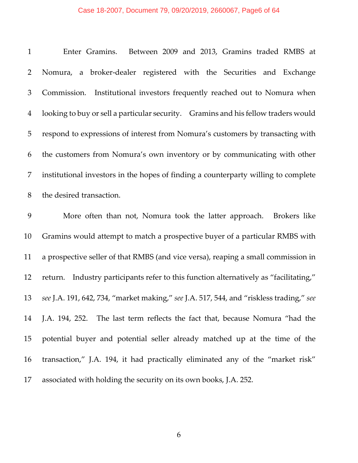# Case 18-2007, Document 79, 09/20/2019, 2660067, Page6 of 64

| $\mathbf{1}$   | Enter Gramins. Between 2009 and 2013, Gramins traded RMBS at                            |
|----------------|-----------------------------------------------------------------------------------------|
| $\overline{2}$ | Nomura, a broker-dealer registered with the Securities and Exchange                     |
| $\mathfrak{Z}$ | Institutional investors frequently reached out to Nomura when<br>Commission.            |
| $\overline{4}$ | looking to buy or sell a particular security. Gramins and his fellow traders would      |
| 5              | respond to expressions of interest from Nomura's customers by transacting with          |
| 6              | the customers from Nomura's own inventory or by communicating with other                |
| 7              | institutional investors in the hopes of finding a counterparty willing to complete      |
| 8              | the desired transaction.                                                                |
| 9              | More often than not, Nomura took the latter approach. Brokers like                      |
| 10             | Gramins would attempt to match a prospective buyer of a particular RMBS with            |
| 11             | a prospective seller of that RMBS (and vice versa), reaping a small commission in       |
| 12             | return. Industry participants refer to this function alternatively as "facilitating,"   |
| 13             | see J.A. 191, 642, 734, "market making," see J.A. 517, 544, and "riskless trading," see |
| 14             | J.A. 194, 252. The last term reflects the fact that, because Nomura "had the            |
| 15             | potential buyer and potential seller already matched up at the time of the              |
| 16             | transaction," J.A. 194, it had practically eliminated any of the "market risk"          |
| 17             | associated with holding the security on its own books, J.A. 252.                        |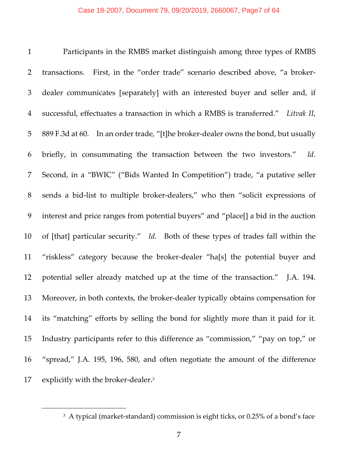Participants in the RMBS market distinguish among three types of RMBS 2 transactions. First, in the "order trade" scenario described above, "a broker- dealer communicates [separately] with an interested buyer and seller and, if successful, effectuates a transaction in which a RMBS is transferred." *Litvak II*, 5 889 F.3d at 60. In an order trade, "[t]he broker-dealer owns the bond, but usually briefly, in consummating the transaction between the two investors." *Id*. Second, in a "BWIC" ("Bids Wanted In Competition") trade, "a putative seller sends a bid‐list to multiple broker‐dealers," who then "solicit expressions of interest and price ranges from potential buyers" and "place[] a bid in the auction 10 of [that] particular security." Id. Both of these types of trades fall within the "riskless" category because the broker‐dealer "ha[s] the potential buyer and 12 potential seller already matched up at the time of the transaction." J.A. 194. 13 Moreover, in both contexts, the broker-dealer typically obtains compensation for its "matching" efforts by selling the bond for slightly more than it paid for it. Industry participants refer to this difference as "commission," "pay on top," or "spread," J.A. 195, 196, 580, and often negotiate the amount of the difference 17 explicitly with the broker-dealer.

<sup>&</sup>lt;sup>3</sup> A typical (market-standard) commission is eight ticks, or 0.25% of a bond's face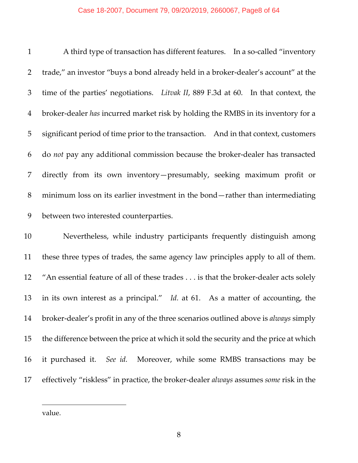#### Case 18-2007, Document 79, 09/20/2019, 2660067, Page8 of 64

1 A third type of transaction has different features. In a so-called "inventory" 2 trade," an investor "buys a bond already held in a broker-dealer's account" at the time of the parties' negotiations. *Litvak II*, 889 F.3d at 60. In that context, the broker‐dealer *has* incurred market risk by holding the RMBS in its inventory for a significant period of time prior to the transaction. And in that context, customers do *not* pay any additional commission because the broker‐dealer has transacted directly from its own inventory—presumably, seeking maximum profit or minimum loss on its earlier investment in the bond—rather than intermediating between two interested counterparties.

 Nevertheless, while industry participants frequently distinguish among these three types of trades, the same agency law principles apply to all of them. 12 "An essential feature of all of these trades . . . is that the broker-dealer acts solely in its own interest as a principal." *Id.* at 61. As a matter of accounting, the broker‐dealer's profit in any of the three scenarios outlined above is *always* simply the difference between the price at which it sold the security and the price at which it purchased it. *See id.* Moreover, while some RMBS transactions may be effectively "riskless" in practice, the broker‐dealer *always* assumes *some* risk in the

value.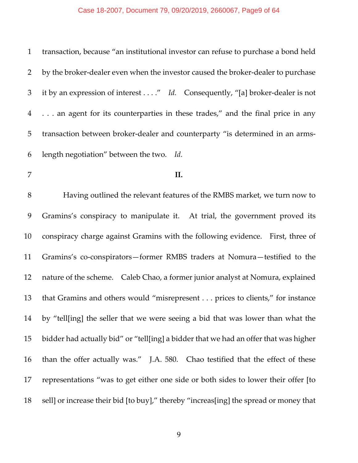### Case 18-2007, Document 79, 09/20/2019, 2660067, Page9 of 64

| $\mathbf{1}$   | transaction, because "an institutional investor can refuse to purchase a bond held |
|----------------|------------------------------------------------------------------------------------|
| $\overline{2}$ | by the broker-dealer even when the investor caused the broker-dealer to purchase   |
| 3              | it by an expression of interest" Id. Consequently, "[a] broker-dealer is not       |
| $\overline{4}$ | an agent for its counterparties in these trades," and the final price in any       |
| 5              | transaction between broker-dealer and counterparty "is determined in an arms-      |
| 6              | length negotiation" between the two. Id.                                           |
| $\overline{7}$ | II.                                                                                |
| 8              | Having outlined the relevant features of the RMBS market, we turn now to           |
| 9              | Gramins's conspiracy to manipulate it. At trial, the government proved its         |
| 10             | conspiracy charge against Gramins with the following evidence. First, three of     |
| 11             | Gramins's co-conspirators-former RMBS traders at Nomura-testified to the           |
| 12             | nature of the scheme. Caleb Chao, a former junior analyst at Nomura, explained     |
| 13             | that Gramins and others would "misrepresent prices to clients," for instance       |

 by "tell[ing] the seller that we were seeing a bid that was lower than what the bidder had actually bid" or "tell[ing] a bidder that we had an offer that was higher 16 than the offer actually was." J.A. 580. Chao testified that the effect of these representations "was to get either one side or both sides to lower their offer [to sell] or increase their bid [to buy]," thereby "increas[ing] the spread or money that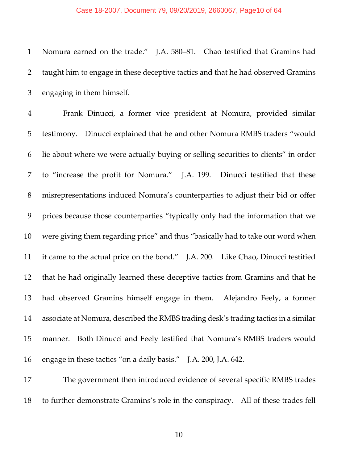Nomura earned on the trade." J.A. 580–81. Chao testified that Gramins had taught him to engage in these deceptive tactics and that he had observed Gramins engaging in them himself.

 Frank Dinucci, a former vice president at Nomura, provided similar testimony. Dinucci explained that he and other Nomura RMBS traders "would lie about where we were actually buying or selling securities to clients" in order to "increase the profit for Nomura." J.A. 199. Dinucci testified that these misrepresentations induced Nomura's counterparties to adjust their bid or offer prices because those counterparties "typically only had the information that we were giving them regarding price" and thus "basically had to take our word when it came to the actual price on the bond." J.A. 200. Like Chao, Dinucci testified that he had originally learned these deceptive tactics from Gramins and that he had observed Gramins himself engage in them. Alejandro Feely, a former associate at Nomura, described the RMBS trading desk's trading tactics in a similar manner. Both Dinucci and Feely testified that Nomura's RMBS traders would engage in these tactics "on a daily basis." J.A. 200, J.A. 642.

 The government then introduced evidence of several specific RMBS trades to further demonstrate Gramins's role in the conspiracy. All of these trades fell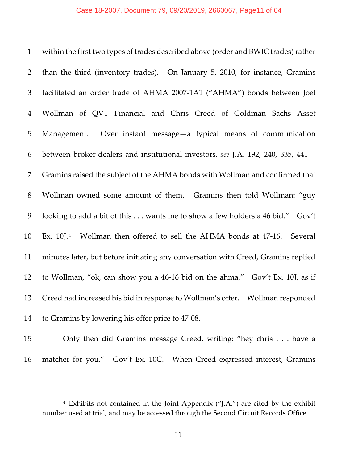1 within the first two types of trades described above (order and BWIC trades) rather than the third (inventory trades). On January 5, 2010, for instance, Gramins facilitated an order trade of AHMA 2007‐1A1 ("AHMA") bonds between Joel Wollman of QVT Financial and Chris Creed of Goldman Sachs Asset Management. Over instant message—a typical means of communication between broker‐dealers and institutional investors, *see* J.A. 192, 240, 335, 441— Gramins raised the subject of the AHMA bonds with Wollman and confirmed that Wollman owned some amount of them. Gramins then told Wollman: "guy looking to add a bit of this . . . wants me to show a few holders a 46 bid." Gov't 10 Ex. 10J.<sup>4</sup> Wollman then offered to sell the AHMA bonds at 47-16. Several minutes later, but before initiating any conversation with Creed, Gramins replied 12 to Wollman, "ok, can show you a 46-16 bid on the ahma," Gov't Ex. 10J, as if Creed had increased his bid in response to Wollman's offer. Wollman responded 14 to Gramins by lowering his offer price to 47-08.

 $\overline{a}$ 

 Only then did Gramins message Creed, writing: "hey chris . . . have a 16 matcher for you." Gov't Ex. 10C. When Creed expressed interest, Gramins

 Exhibits not contained in the Joint Appendix ("J.A.") are cited by the exhibit number used at trial, and may be accessed through the Second Circuit Records Office.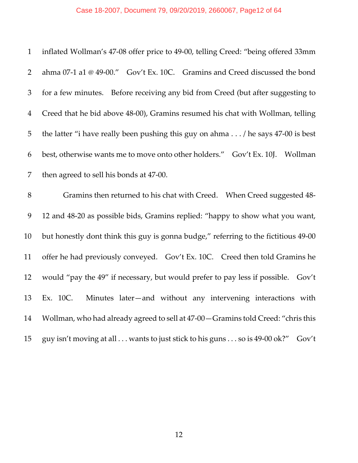# Case 18-2007, Document 79, 09/20/2019, 2660067, Page12 of 64

| inflated Wollman's 47-08 offer price to 49-00, telling Creed: "being offered 33mm<br>$\mathbf{1}$ |
|---------------------------------------------------------------------------------------------------|
| $\overline{2}$<br>ahma 07-1 a1 @ 49-00." Gov't Ex. 10C. Gramins and Creed discussed the bond      |
| for a few minutes. Before receiving any bid from Creed (but after suggesting to<br>3              |
| Creed that he bid above 48-00), Gramins resumed his chat with Wollman, telling<br>$\overline{4}$  |
| the latter "i have really been pushing this guy on ahma / he says 47-00 is best<br>5              |
| best, otherwise wants me to move onto other holders." Gov't Ex. 10J. Wollman<br>6                 |
| $\overline{7}$<br>then agreed to sell his bonds at 47-00.                                         |
| 8<br>Gramins then returned to his chat with Creed. When Creed suggested 48-                       |
| 9<br>12 and 48-20 as possible bids, Gramins replied: "happy to show what you want,                |
| 10<br>but honestly dont think this guy is gonna budge," referring to the fictitious 49-00         |
| 11<br>offer he had previously conveyed. Gov't Ex. 10C. Creed then told Gramins he                 |
| 12<br>would "pay the 49" if necessary, but would prefer to pay less if possible. Gov't            |
| 13<br>Minutes later-and without any intervening interactions with<br>Ex. 10C.                     |
| Wollman, who had already agreed to sell at 47-00 - Gramins told Creed: "chris this<br>14          |
| guy isn't moving at all  wants to just stick to his guns  so is 49-00 ok?"<br>15<br>Gov't         |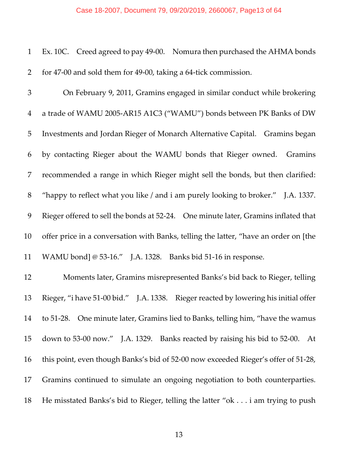#### Case 18-2007, Document 79, 09/20/2019, 2660067, Page13 of 64

|  |                                                                   | 1 Ex. 10C. Creed agreed to pay 49-00. Nomura then purchased the AHMA bonds |
|--|-------------------------------------------------------------------|----------------------------------------------------------------------------|
|  | 2 for 47-00 and sold them for 49-00, taking a 64-tick commission. |                                                                            |

 On February 9, 2011, Gramins engaged in similar conduct while brokering a trade of WAMU 2005‐AR15 A1C3 ("WAMU") bonds between PK Banks of DW Investments and Jordan Rieger of Monarch Alternative Capital. Gramins began by contacting Rieger about the WAMU bonds that Rieger owned. Gramins recommended a range in which Rieger might sell the bonds, but then clarified: "happy to reflect what you like / and i am purely looking to broker." J.A. 1337. 9 Rieger offered to sell the bonds at 52-24. One minute later, Gramins inflated that offer price in a conversation with Banks, telling the latter, "have an order on [the 11 WAMU bond] @ 53-16." J.A. 1328. Banks bid 51-16 in response.

 Moments later, Gramins misrepresented Banks's bid back to Rieger, telling 13 Rieger, "i have 51-00 bid." J.A. 1338. Rieger reacted by lowering his initial offer 14 to 51-28. One minute later, Gramins lied to Banks, telling him, "have the wamus" 15 down to 53-00 now." J.A. 1329. Banks reacted by raising his bid to 52-00. At this point, even though Banks's bid of 52‐00 now exceeded Rieger's offer of 51‐28, Gramins continued to simulate an ongoing negotiation to both counterparties. He misstated Banks's bid to Rieger, telling the latter "ok . . . i am trying to push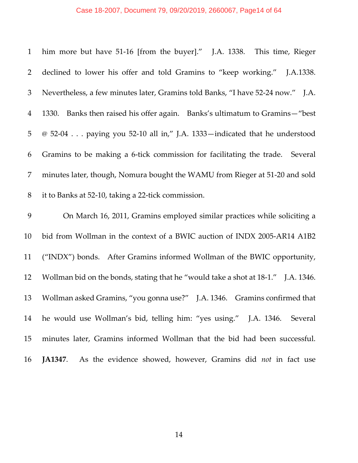# Case 18-2007, Document 79, 09/20/2019, 2660067, Page14 of 64

| $\mathbf{1}$   | him more but have 51-16 [from the buyer]." J.A. 1338. This time, Rieger           |
|----------------|-----------------------------------------------------------------------------------|
| 2              | declined to lower his offer and told Gramins to "keep working." J.A.1338.         |
| 3              | Nevertheless, a few minutes later, Gramins told Banks, "I have 52-24 now." J.A.   |
| $\overline{4}$ | Banks then raised his offer again. Banks's ultimatum to Gramins-"best"<br>1330.   |
| 5              | @ 52-04 paying you 52-10 all in," J.A. 1333—indicated that he understood          |
| 6              | Gramins to be making a 6-tick commission for facilitating the trade. Several      |
| 7              | minutes later, though, Nomura bought the WAMU from Rieger at 51-20 and sold       |
| 8              | it to Banks at 52-10, taking a 22-tick commission.                                |
| 9              | On March 16, 2011, Gramins employed similar practices while soliciting a          |
| 10             | bid from Wollman in the context of a BWIC auction of INDX 2005-AR14 A1B2          |
| 11             | ("INDX") bonds. After Gramins informed Wollman of the BWIC opportunity,           |
| 12             | Wollman bid on the bonds, stating that he "would take a shot at 18-1." J.A. 1346. |
| 13             | Wollman asked Gramins, "you gonna use?" J.A. 1346. Gramins confirmed that         |
| 14             | he would use Wollman's bid, telling him: "yes using." J.A. 1346. Several          |
| 15             | minutes later, Gramins informed Wollman that the bid had been successful.         |
|                |                                                                                   |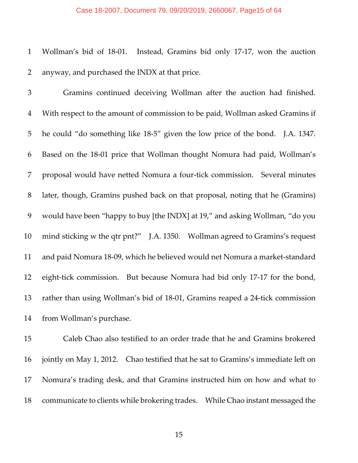#### Case 18-2007, Document 79, 09/20/2019, 2660067, Page15 of 64

 Wollman's bid of 18‐01. Instead, Gramins bid only 17‐17, won the auction anyway, and purchased the INDX at that price.

 Gramins continued deceiving Wollman after the auction had finished. With respect to the amount of commission to be paid, Wollman asked Gramins if he could "do something like 18‐5" given the low price of the bond. J.A. 1347. Based on the 18‐01 price that Wollman thought Nomura had paid, Wollman's proposal would have netted Nomura a four‐tick commission. Several minutes later, though, Gramins pushed back on that proposal, noting that he (Gramins) would have been "happy to buy [the INDX] at 19," and asking Wollman, "do you mind sticking w the qtr pnt?" J.A. 1350. Wollman agreed to Gramins's request 11 and paid Nomura 18-09, which he believed would net Nomura a market-standard 12 eight-tick commission. But because Nomura had bid only 17-17 for the bond, rather than using Wollman's bid of 18‐01, Gramins reaped a 24‐tick commission from Wollman's purchase.

 Caleb Chao also testified to an order trade that he and Gramins brokered jointly on May 1, 2012. Chao testified that he sat to Gramins's immediate left on Nomura's trading desk, and that Gramins instructed him on how and what to communicate to clients while brokering trades. While Chao instant messaged the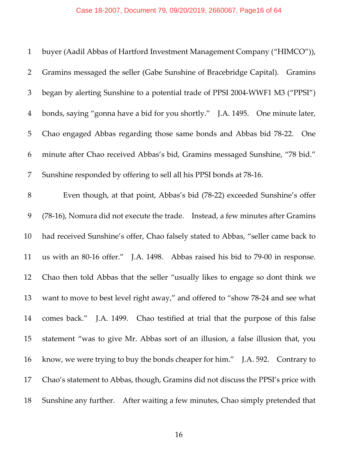# Case 18-2007, Document 79, 09/20/2019, 2660067, Page16 of 64

| $\mathbf{1}$   | buyer (Aadil Abbas of Hartford Investment Management Company ("HIMCO")),          |
|----------------|-----------------------------------------------------------------------------------|
| $\overline{2}$ | Gramins messaged the seller (Gabe Sunshine of Bracebridge Capital).<br>Gramins    |
| 3              | began by alerting Sunshine to a potential trade of PPSI 2004-WWF1 M3 ("PPSI")     |
| $\overline{4}$ | bonds, saying "gonna have a bid for you shortly." J.A. 1495. One minute later,    |
| 5              | Chao engaged Abbas regarding those same bonds and Abbas bid 78-22. One            |
| 6              | minute after Chao received Abbas's bid, Gramins messaged Sunshine, "78 bid."      |
| 7              | Sunshine responded by offering to sell all his PPSI bonds at 78-16.               |
| $8\,$          | Even though, at that point, Abbas's bid (78-22) exceeded Sunshine's offer         |
| 9              | (78-16), Nomura did not execute the trade. Instead, a few minutes after Gramins   |
| 10             | had received Sunshine's offer, Chao falsely stated to Abbas, "seller came back to |
| 11             | us with an 80-16 offer." J.A. 1498. Abbas raised his bid to 79-00 in response.    |
| 12             | Chao then told Abbas that the seller "usually likes to engage so dont think we    |
| 13             | want to move to best level right away," and offered to "show 78-24 and see what   |
| 14             | comes back." J.A. 1499. Chao testified at trial that the purpose of this false    |
| 15             | statement "was to give Mr. Abbas sort of an illusion, a false illusion that, you  |
| 16             | know, we were trying to buy the bonds cheaper for him." J.A. 592. Contrary to     |
| 17             | Chao's statement to Abbas, though, Gramins did not discuss the PPSI's price with  |
| 18             | Sunshine any further. After waiting a few minutes, Chao simply pretended that     |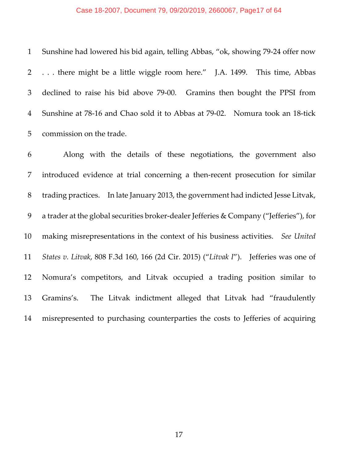#### Case 18-2007, Document 79, 09/20/2019, 2660067, Page17 of 64

 Sunshine had lowered his bid again, telling Abbas, "ok, showing 79‐24 offer now . . . there might be a little wiggle room here." J.A. 1499. This time, Abbas declined to raise his bid above 79‐00. Gramins then bought the PPSI from Sunshine at 78‐16 and Chao sold it to Abbas at 79‐02. Nomura took an 18‐tick commission on the trade.

 Along with the details of these negotiations, the government also introduced evidence at trial concerning a then‐recent prosecution for similar trading practices. In late January 2013, the government had indicted Jesse Litvak, 9 a trader at the global securities broker-dealer Jefferies & Company ("Jefferies"), for making misrepresentations in the context of his business activities. *See United States v. Litvak*, 808 F.3d 160, 166 (2d Cir. 2015) ("*Litvak I*"). Jefferies was one of Nomura's competitors, and Litvak occupied a trading position similar to Gramins's. The Litvak indictment alleged that Litvak had "fraudulently misrepresented to purchasing counterparties the costs to Jefferies of acquiring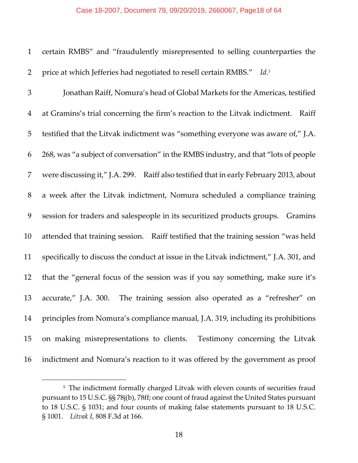### Case 18-2007, Document 79, 09/20/2019, 2660067, Page18 of 64

| $\mathbf{1}$   | certain RMBS" and "fraudulently misrepresented to selling counterparties the           |
|----------------|----------------------------------------------------------------------------------------|
| 2              | price at which Jefferies had negotiated to resell certain RMBS." Id. <sup>5</sup>      |
| 3              | Jonathan Raiff, Nomura's head of Global Markets for the Americas, testified            |
| $\overline{4}$ | at Gramins's trial concerning the firm's reaction to the Litvak indictment.<br>Raiff   |
| 5              | testified that the Litvak indictment was "something everyone was aware of," J.A.       |
| 6              | 268, was "a subject of conversation" in the RMBS industry, and that "lots of people    |
| 7              | were discussing it," J.A. 299. Raiff also testified that in early February 2013, about |
| $8\,$          | a week after the Litvak indictment, Nomura scheduled a compliance training             |
| 9              | session for traders and salespeople in its securitized products groups. Gramins        |
| 10             | attended that training session. Raiff testified that the training session "was held    |
| 11             | specifically to discuss the conduct at issue in the Litvak indictment," J.A. 301, and  |
| 12             | that the "general focus of the session was if you say something, make sure it's        |
| 13             | The training session also operated as a "refresher" on<br>accurate," J.A. 300.         |
| 14             | principles from Nomura's compliance manual, J.A. 319, including its prohibitions       |
| 15             | on making misrepresentations to clients. Testimony concerning the Litvak               |
| 16             | indictment and Nomura's reaction to it was offered by the government as proof          |

<sup>&</sup>lt;sup>5</sup> The indictment formally charged Litvak with eleven counts of securities fraud pursuant to 15 U.S.C. §§ 78j(b), 78ff; one count of fraud against the United States pursuant to 18 U.S.C. § 1031; and four counts of making false statements pursuant to 18 U.S.C. § 1001. *Litvak I*, 808 F.3d at 166.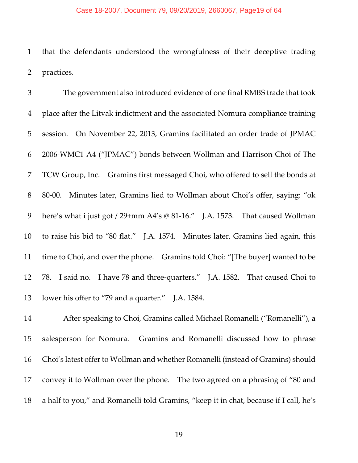#### Case 18-2007, Document 79, 09/20/2019, 2660067, Page19 of 64

 that the defendants understood the wrongfulness of their deceptive trading practices.

 The government also introduced evidence of one final RMBS trade that took place after the Litvak indictment and the associated Nomura compliance training session. On November 22, 2013, Gramins facilitated an order trade of JPMAC 2006‐WMC1 A4 ("JPMAC") bonds between Wollman and Harrison Choi of The TCW Group, Inc. Gramins first messaged Choi, who offered to sell the bonds at 8 80–00. Minutes later, Gramins lied to Wollman about Choi's offer, saying: "ok 9 here's what i just got / 29+mm A4's @ 81-16." J.A. 1573. That caused Wollman to raise his bid to "80 flat." J.A. 1574. Minutes later, Gramins lied again, this time to Choi, and over the phone. Gramins told Choi: "[The buyer] wanted to be 12 78. I said no. I have 78 and three-quarters." J.A. 1582. That caused Choi to lower his offer to "79 and a quarter." J.A. 1584.

 After speaking to Choi, Gramins called Michael Romanelli ("Romanelli"), a salesperson for Nomura. Gramins and Romanelli discussed how to phrase Choi's latest offer to Wollman and whether Romanelli (instead of Gramins) should convey it to Wollman over the phone. The two agreed on a phrasing of "80 and a half to you," and Romanelli told Gramins, "keep it in chat, because if I call, he's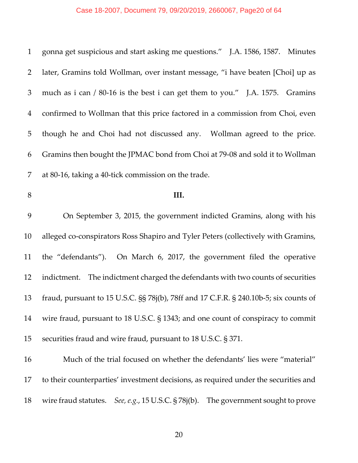# Case 18-2007, Document 79, 09/20/2019, 2660067, Page20 of 64

| $\mathbf{1}$   | gonna get suspicious and start asking me questions." J.A. 1586, 1587. Minutes         |
|----------------|---------------------------------------------------------------------------------------|
| 2              | later, Gramins told Wollman, over instant message, "i have beaten [Choi] up as        |
| 3              | much as i can / 80-16 is the best i can get them to you." J.A. 1575. Gramins          |
| $\overline{4}$ | confirmed to Wollman that this price factored in a commission from Choi, even         |
| 5              | though he and Choi had not discussed any. Wollman agreed to the price.                |
| 6              | Gramins then bought the JPMAC bond from Choi at 79-08 and sold it to Wollman          |
| 7              | at 80-16, taking a 40-tick commission on the trade.                                   |
| 8              | III.                                                                                  |
| 9              | On September 3, 2015, the government indicted Gramins, along with his                 |
| 10             | alleged co-conspirators Ross Shapiro and Tyler Peters (collectively with Gramins,     |
| 11             | the "defendants"). On March 6, 2017, the government filed the operative               |
| 12             | indictment. The indictment charged the defendants with two counts of securities       |
| 13             | fraud, pursuant to 15 U.S.C. §§ 78j(b), 78ff and 17 C.F.R. § 240.10b-5; six counts of |
| 14             | wire fraud, pursuant to 18 U.S.C. § 1343; and one count of conspiracy to commit       |
| 15             | securities fraud and wire fraud, pursuant to 18 U.S.C. § 371.                         |
| 16             | Much of the trial focused on whether the defendants' lies were "material"             |
| 17             | to their counterparties' investment decisions, as required under the securities and   |
| 18             | wire fraud statutes. See, e.g., 15 U.S.C. § 78j(b).<br>The government sought to prove |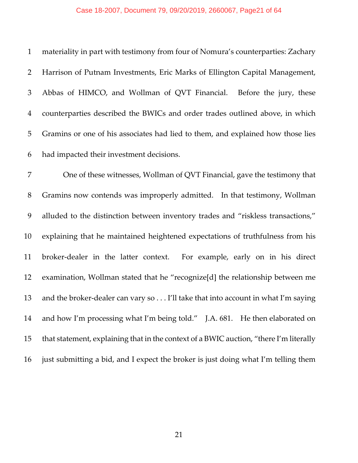#### Case 18-2007, Document 79, 09/20/2019, 2660067, Page21 of 64

 materiality in part with testimony from four of Nomura's counterparties: Zachary Harrison of Putnam Investments, Eric Marks of Ellington Capital Management, Abbas of HIMCO, and Wollman of QVT Financial. Before the jury, these counterparties described the BWICs and order trades outlined above, in which Gramins or one of his associates had lied to them, and explained how those lies had impacted their investment decisions. One of these witnesses, Wollman of QVT Financial, gave the testimony that Gramins now contends was improperly admitted. In that testimony, Wollman alluded to the distinction between inventory trades and "riskless transactions," explaining that he maintained heightened expectations of truthfulness from his 11 broker-dealer in the latter context. For example, early on in his direct examination, Wollman stated that he "recognize[d] the relationship between me 13 and the broker-dealer can vary so . . . I'll take that into account in what I'm saying 14 and how I'm processing what I'm being told." J.A. 681. He then elaborated on

that statement, explaining that in the context of a BWIC auction, "there I'm literally

just submitting a bid, and I expect the broker is just doing what I'm telling them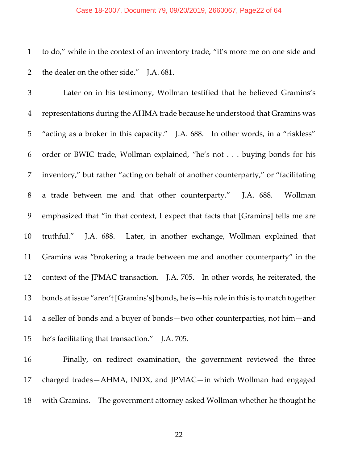#### Case 18-2007, Document 79, 09/20/2019, 2660067, Page22 of 64

 to do," while in the context of an inventory trade, "it's more me on one side and 2 the dealer on the other side." J.A. 681.

 Later on in his testimony, Wollman testified that he believed Gramins's representations during the AHMA trade because he understood that Gramins was "acting as a broker in this capacity." J.A. 688. In other words, in a "riskless" order or BWIC trade, Wollman explained, "he's not . . . buying bonds for his inventory," but rather "acting on behalf of another counterparty," or "facilitating 8 a trade between me and that other counterparty." J.A. 688. Wollman emphasized that "in that context, I expect that facts that [Gramins] tells me are truthful." J.A. 688. Later, in another exchange, Wollman explained that Gramins was "brokering a trade between me and another counterparty" in the 12 context of the JPMAC transaction. J.A. 705. In other words, he reiterated, the bonds at issue "aren't [Gramins's] bonds, he is—his role in this is to match together a seller of bonds and a buyer of bonds—two other counterparties, not him—and he's facilitating that transaction." J.A. 705.

 Finally, on redirect examination, the government reviewed the three charged trades—AHMA, INDX, and JPMAC—in which Wollman had engaged with Gramins. The government attorney asked Wollman whether he thought he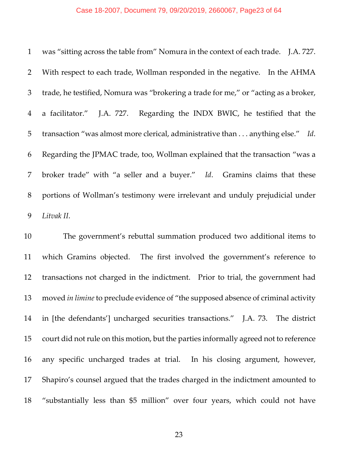#### Case 18-2007, Document 79, 09/20/2019, 2660067, Page23 of 64

|                | 1 was "sitting across the table from" Nomura in the context of each trade. J.A. 727. |
|----------------|--------------------------------------------------------------------------------------|
| 2              | With respect to each trade, Wollman responded in the negative. In the AHMA           |
| 3              | trade, he testified, Nomura was "brokering a trade for me," or "acting as a broker,  |
| $\overline{4}$ | a facilitator." J.A. 727. Regarding the INDX BWIC, he testified that the             |
| 5 <sup>5</sup> | transaction "was almost more clerical, administrative than anything else." Id.       |
| 6              | Regarding the JPMAC trade, too, Wollman explained that the transaction "was a        |
| 7 <sup>1</sup> | broker trade" with "a seller and a buyer." Id. Gramins claims that these             |
| 8              | portions of Wollman's testimony were irrelevant and unduly prejudicial under         |
| 9              | Litvak II.                                                                           |

 The government's rebuttal summation produced two additional items to which Gramins objected. The first involved the government's reference to transactions not charged in the indictment. Prior to trial, the government had moved *in limine* to preclude evidence of "the supposed absence of criminal activity in [the defendants'] uncharged securities transactions." J.A. 73. The district court did not rule on this motion, but the parties informally agreed not to reference any specific uncharged trades at trial. In his closing argument, however, Shapiro's counsel argued that the trades charged in the indictment amounted to "substantially less than \$5 million" over four years, which could not have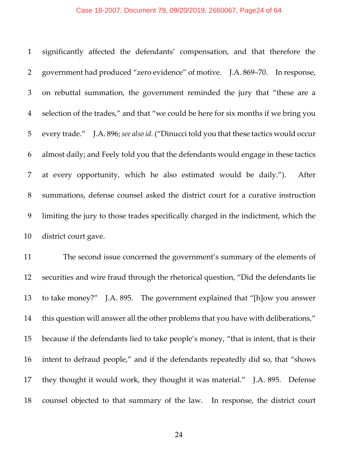#### Case 18-2007, Document 79, 09/20/2019, 2660067, Page24 of 64

 significantly affected the defendants' compensation, and that therefore the government had produced "zero evidence" of motive. J.A. 869–70. In response, on rebuttal summation, the government reminded the jury that "these are a selection of the trades," and that "we could be here for six months if we bring you every trade." J.A. 896;*see also id.* ("Dinucci told you that these tactics would occur almost daily; and Feely told you that the defendants would engage in these tactics at every opportunity, which he also estimated would be daily."). After summations, defense counsel asked the district court for a curative instruction limiting the jury to those trades specifically charged in the indictment, which the district court gave.

 The second issue concerned the government's summary of the elements of securities and wire fraud through the rhetorical question, "Did the defendants lie to take money?" J.A. 895. The government explained that "[h]ow you answer this question will answer all the other problems that you have with deliberations," because if the defendants lied to take people's money, "that is intent, that is their intent to defraud people," and if the defendants repeatedly did so, that "shows 17 they thought it would work, they thought it was material." J.A. 895. Defense counsel objected to that summary of the law. In response, the district court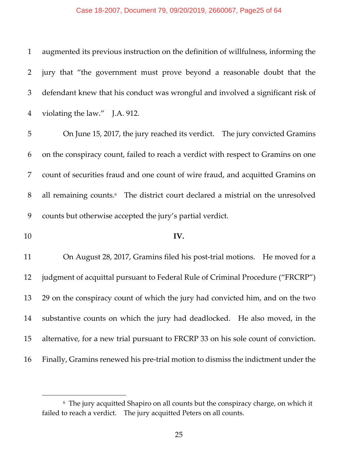### Case 18-2007, Document 79, 09/20/2019, 2660067, Page25 of 64

| $\mathbf{1}$ | augmented its previous instruction on the definition of willfulness, informing the          |
|--------------|---------------------------------------------------------------------------------------------|
| 2            | jury that "the government must prove beyond a reasonable doubt that the                     |
| 3            | defendant knew that his conduct was wrongful and involved a significant risk of             |
| 4            | violating the law." J.A. 912.                                                               |
| 5            | On June 15, 2017, the jury reached its verdict.  The jury convicted Gramins                 |
| 6            | on the conspiracy count, failed to reach a verdict with respect to Gramins on one           |
| 7            | count of securities fraud and one count of wire fraud, and acquitted Gramins on             |
| 8            | all remaining counts. <sup>6</sup> The district court declared a mistrial on the unresolved |
|              |                                                                                             |
| 9            | counts but otherwise accepted the jury's partial verdict.                                   |
| 10           | IV.                                                                                         |
| 11           | On August 28, 2017, Gramins filed his post-trial motions. He moved for a                    |
| 12           | judgment of acquittal pursuant to Federal Rule of Criminal Procedure ("FRCRP")              |
| 13           | 29 on the conspiracy count of which the jury had convicted him, and on the two              |
| 14           | substantive counts on which the jury had deadlocked. He also moved, in the                  |
| 15           | alternative, for a new trial pursuant to FRCRP 33 on his sole count of conviction.          |

 $^6\,$  The jury acquitted Shapiro on all counts but the conspiracy charge, on which it failed to reach a verdict. The jury acquitted Peters on all counts.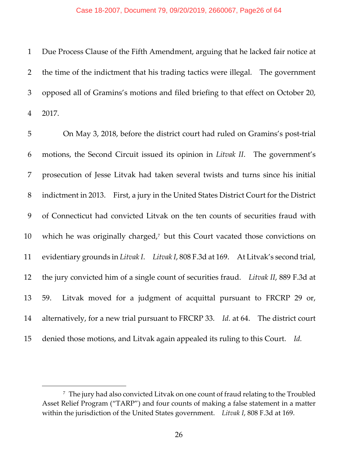#### Case 18-2007, Document 79, 09/20/2019, 2660067, Page26 of 64

 Due Process Clause of the Fifth Amendment, arguing that he lacked fair notice at the time of the indictment that his trading tactics were illegal. The government opposed all of Gramins's motions and filed briefing to that effect on October 20, 2017.

5 On May 3, 2018, before the district court had ruled on Gramins's post-trial motions, the Second Circuit issued its opinion in *Litvak II*. The government's prosecution of Jesse Litvak had taken several twists and turns since his initial indictment in 2013. First, a jury in the United States District Court for the District of Connecticut had convicted Litvak on the ten counts of securities fraud with 10 which he was originally charged, but this Court vacated those convictions on evidentiary grounds in *Litvak I*. *Litvak I*, 808 F.3d at 169. At Litvak's second trial, the jury convicted him of a single count of securities fraud. *Litvak II*, 889 F.3d at 59. Litvak moved for a judgment of acquittal pursuant to FRCRP 29 or, alternatively, for a new trial pursuant to FRCRP 33. *Id.* at 64. The district court 15 denied those motions, and Litvak again appealed its ruling to this Court. Id.

 The jury had also convicted Litvak on one count of fraud relating to the Troubled Asset Relief Program ("TARP") and four counts of making a false statement in a matter within the jurisdiction of the United States government. *Litvak I*, 808 F.3d at 169.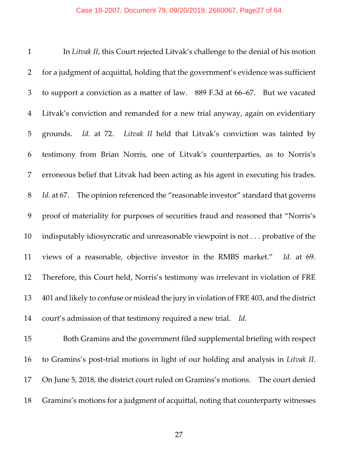### Case 18-2007, Document 79, 09/20/2019, 2660067, Page27 of 64

| $\mathbf{1}$   | In Litvak II, this Court rejected Litvak's challenge to the denial of his motion            |
|----------------|---------------------------------------------------------------------------------------------|
| $\overline{2}$ | for a judgment of acquittal, holding that the government's evidence was sufficient          |
| 3              | to support a conviction as a matter of law. 889 F.3d at 66-67. But we vacated               |
| $\overline{4}$ | Litvak's conviction and remanded for a new trial anyway, again on evidentiary               |
| 5              | grounds. Id. at 72. Litvak II held that Litvak's conviction was tainted by                  |
| 6              | testimony from Brian Norris, one of Litvak's counterparties, as to Norris's                 |
| 7              | erroneous belief that Litvak had been acting as his agent in executing his trades.          |
| $8\,$          | The opinion referenced the "reasonable investor" standard that governs<br><i>Id.</i> at 67. |
| 9              | proof of materiality for purposes of securities fraud and reasoned that "Norris's           |
| 10             | indisputably idiosyncratic and unreasonable viewpoint is not probative of the               |
| 11             | views of a reasonable, objective investor in the RMBS market." Id. at 69.                   |
| 12             | Therefore, this Court held, Norris's testimony was irrelevant in violation of FRE           |
| 13             | 401 and likely to confuse or mislead the jury in violation of FRE 403, and the district     |
| 14             | court's admission of that testimony required a new trial. Id.                               |

 Both Gramins and the government filed supplemental briefing with respect to Gramins's post‐trial motions in light of our holding and analysis in *Litvak II*. On June 5, 2018, the district court ruled on Gramins's motions. The court denied Gramins's motions for a judgment of acquittal, noting that counterparty witnesses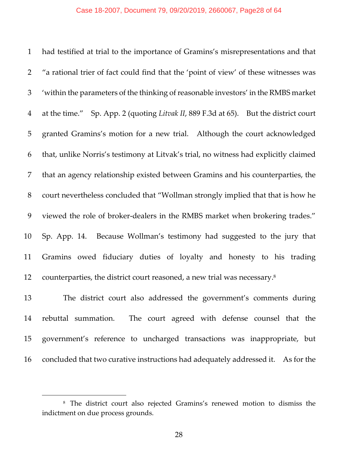had testified at trial to the importance of Gramins's misrepresentations and that "a rational trier of fact could find that the 'point of view' of these witnesses was 'within the parameters of the thinking ofreasonable investors' in the RMBS market at the time." Sp. App. 2 (quoting *Litvak II*, 889 F.3d at 65). But the district court granted Gramins's motion for a new trial. Although the court acknowledged that, unlike Norris's testimony at Litvak's trial, no witness had explicitly claimed that an agency relationship existed between Gramins and his counterparties, the court nevertheless concluded that "Wollman strongly implied that that is how he 9 viewed the role of broker-dealers in the RMBS market when brokering trades." Sp. App. 14. Because Wollman's testimony had suggested to the jury that Gramins owed fiduciary duties of loyalty and honesty to his trading 12 counterparties, the district court reasoned, a new trial was necessary.

 The district court also addressed the government's comments during rebuttal summation. The court agreed with defense counsel that the government's reference to uncharged transactions was inappropriate, but concluded that two curative instructions had adequately addressed it. As for the

 The district court also rejected Gramins's renewed motion to dismiss the indictment on due process grounds.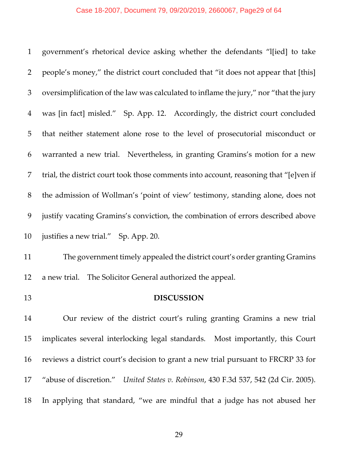# Case 18-2007, Document 79, 09/20/2019, 2660067, Page29 of 64

| $\mathbf{1}$   | government's rhetorical device asking whether the defendants "I[ied] to take          |
|----------------|---------------------------------------------------------------------------------------|
| 2              | people's money," the district court concluded that "it does not appear that [this]    |
| 3              | oversimplification of the law was calculated to inflame the jury," nor "that the jury |
| $\overline{4}$ | was [in fact] misled." Sp. App. 12. Accordingly, the district court concluded         |
| 5              | that neither statement alone rose to the level of prosecutorial misconduct or         |
| 6              | warranted a new trial. Nevertheless, in granting Gramins's motion for a new           |
| 7              | trial, the district court took those comments into account, reasoning that "[e]ven if |
| 8              | the admission of Wollman's 'point of view' testimony, standing alone, does not        |
| 9              | justify vacating Gramins's conviction, the combination of errors described above      |
| 10             | justifies a new trial." Sp. App. 20.                                                  |
| 11             | The government timely appealed the district court's order granting Gramins            |
| 12             | a new trial. The Solicitor General authorized the appeal.                             |
| 13             |                                                                                       |
|                | <b>DISCUSSION</b>                                                                     |
| 14             | Our review of the district court's ruling granting Gramins a new trial                |
| 15             | implicates several interlocking legal standards. Most importantly, this Court         |
| 16             | reviews a district court's decision to grant a new trial pursuant to FRCRP 33 for     |
| 17             | "abuse of discretion." United States v. Robinson, 430 F.3d 537, 542 (2d Cir. 2005).   |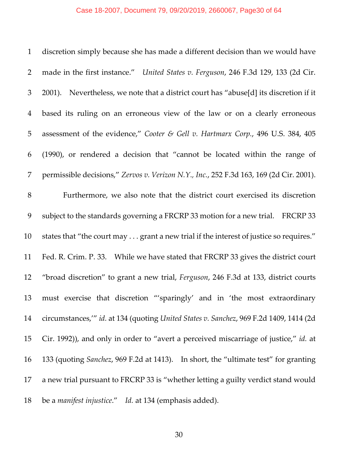# Case 18-2007, Document 79, 09/20/2019, 2660067, Page30 of 64

| $\mathbf{1}$   | discretion simply because she has made a different decision than we would have          |
|----------------|-----------------------------------------------------------------------------------------|
| 2              | made in the first instance." United States v. Ferguson, 246 F.3d 129, 133 (2d Cir.      |
| 3              | 2001). Nevertheless, we note that a district court has "abuse[d] its discretion if it   |
| $\overline{4}$ | based its ruling on an erroneous view of the law or on a clearly erroneous              |
| 5              | assessment of the evidence," Cooter & Gell v. Hartmarx Corp., 496 U.S. 384, 405         |
| 6              | (1990), or rendered a decision that "cannot be located within the range of              |
| 7              | permissible decisions," Zervos v. Verizon N.Y., Inc., 252 F.3d 163, 169 (2d Cir. 2001). |
| 8              | Furthermore, we also note that the district court exercised its discretion              |
| 9              | subject to the standards governing a FRCRP 33 motion for a new trial. FRCRP 33          |
| 10             | states that "the court may grant a new trial if the interest of justice so requires."   |
| 11             | Fed. R. Crim. P. 33. While we have stated that FRCRP 33 gives the district court        |
| 12             | "broad discretion" to grant a new trial, Ferguson, 246 F.3d at 133, district courts     |
| 13             | must exercise that discretion "'sparingly' and in 'the most extraordinary               |
| 14             | circumstances," id. at 134 (quoting United States v. Sanchez, 969 F.2d 1409, 1414 (2d)  |
| 15             | Cir. 1992)), and only in order to "avert a perceived miscarriage of justice," id. at    |
| 16             | 133 (quoting Sanchez, 969 F.2d at 1413). In short, the "ultimate test" for granting     |
| 17             | a new trial pursuant to FRCRP 33 is "whether letting a guilty verdict stand would       |
| 18             | be a <i>manifest injustice.</i> " Id. at 134 (emphasis added).                          |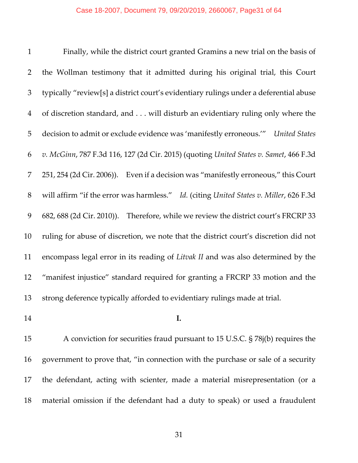Finally, while the district court granted Gramins a new trial on the basis of the Wollman testimony that it admitted during his original trial, this Court typically "review[s] a district court's evidentiary rulings under a deferential abuse of discretion standard, and . . . will disturb an evidentiary ruling only where the decision to admit or exclude evidence was 'manifestly erroneous.'" *United States v. McGinn*, 787 F.3d 116, 127 (2d Cir. 2015) (quoting *United States v. Samet*, 466 F.3d 251, 254 (2d Cir. 2006)). Even if a decision was "manifestly erroneous," this Court will affirm "if the error was harmless." *Id.* (citing *United States v. Miller*, 626 F.3d 682, 688 (2d Cir. 2010)). Therefore, while we review the district court's FRCRP 33 ruling for abuse of discretion, we note that the district court's discretion did not encompass legal error in its reading of *Litvak II* and was also determined by the "manifest injustice" standard required for granting a FRCRP 33 motion and the strong deference typically afforded to evidentiary rulings made at trial.

**I.**

 A conviction for securities fraud pursuant to 15 U.S.C. § 78j(b) requires the government to prove that, "in connection with the purchase or sale of a security the defendant, acting with scienter, made a material misrepresentation (or a material omission if the defendant had a duty to speak) or used a fraudulent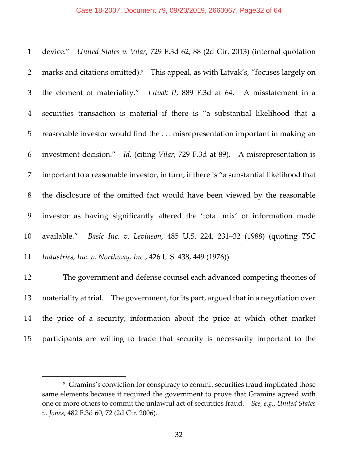#### Case 18-2007, Document 79, 09/20/2019, 2660067, Page32 of 64

 device." *United States v. Vilar*, 729 F.3d 62, 88 (2d Cir. 2013) (internal quotation 2 marks and citations omitted).<sup>9</sup> This appeal, as with Litvak's, "focuses largely on the element of materiality." *Litvak II*, 889 F.3d at 64. A misstatement in a securities transaction is material if there is "a substantial likelihood that a reasonable investor would find the . . . misrepresentation important in making an investment decision." *Id.* (citing *Vilar*, 729 F.3d at 89). A misrepresentation is important to a reasonable investor, in turn, if there is "a substantial likelihood that the disclosure of the omitted fact would have been viewed by the reasonable investor as having significantly altered the 'total mix' of information made available." *Basic Inc. v. Levinson*, 485 U.S. 224, 231–32 (1988) (quoting *TSC Industries, Inc. v. Northway, Inc.*, 426 U.S. 438, 449 (1976)).

 The government and defense counsel each advanced competing theories of 13 materiality at trial. The government, for its part, argued that in a negotiation over the price of a security, information about the price at which other market participants are willing to trade that security is necessarily important to the

 Gramins's conviction for conspiracy to commit securities fraud implicated those same elements because it required the government to prove that Gramins agreed with one or more others to commit the unlawful act of securities fraud. *See, e.g.*, *United States v. Jones*, 482 F.3d 60, 72 (2d Cir. 2006).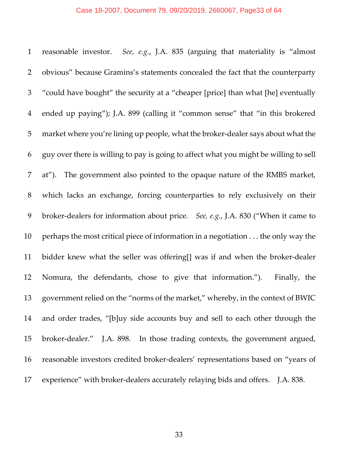#### Case 18-2007, Document 79, 09/20/2019, 2660067, Page33 of 64

 reasonable investor. *See, e.g.*, J.A. 835 (arguing that materiality is "almost obvious" because Gramins's statements concealed the fact that the counterparty "could have bought" the security at a "cheaper [price] than what [he] eventually ended up paying"); J.A. 899 (calling it "common sense" that "in this brokered market where you're lining up people, what the broker‐dealer says about what the guy over there is willing to pay is going to affect what you might be willing to sell at"). The government also pointed to the opaque nature of the RMBS market, which lacks an exchange, forcing counterparties to rely exclusively on their broker‐dealers for information about price. *See, e.g.*, J.A. 830 ("When it came to perhaps the most critical piece of information in a negotiation . . . the only way the bidder knew what the seller was offering[] was if and when the broker‐dealer Nomura, the defendants, chose to give that information."). Finally, the government relied on the "norms of the market," whereby, in the context of BWIC and order trades, "[b]uy side accounts buy and sell to each other through the 15 broker-dealer." J.A. 898. In those trading contexts, the government argued, 16 reasonable investors credited broker-dealers' representations based on "years of 17 experience" with broker-dealers accurately relaying bids and offers. J.A. 838.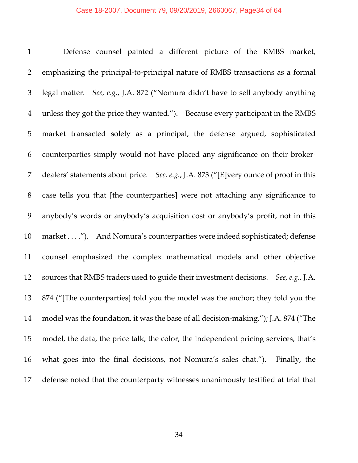#### Case 18-2007, Document 79, 09/20/2019, 2660067, Page34 of 64

 Defense counsel painted a different picture of the RMBS market, emphasizing the principal‐to‐principal nature of RMBS transactions as a formal legal matter. *See, e.g.*, J.A. 872 ("Nomura didn't have to sell anybody anything unless they got the price they wanted."). Because every participant in the RMBS market transacted solely as a principal, the defense argued, sophisticated counterparties simply would not have placed any significance on their broker‐ dealers' statements about price. *See, e.g.*, J.A. 873 ("[E]very ounce of proof in this case tells you that [the counterparties] were not attaching any significance to anybody's words or anybody's acquisition cost or anybody's profit, not in this 10 market . . . ."). And Nomura's counterparties were indeed sophisticated; defense counsel emphasized the complex mathematical models and other objective sources that RMBS traders used to guide their investment decisions. *See, e.g.*, J.A. 874 ("[The counterparties] told you the model was the anchor; they told you the 14 model was the foundation, it was the base of all decision-making."); J.A. 874 ("The model, the data, the price talk, the color, the independent pricing services, that's what goes into the final decisions, not Nomura's sales chat."). Finally, the defense noted that the counterparty witnesses unanimously testified at trial that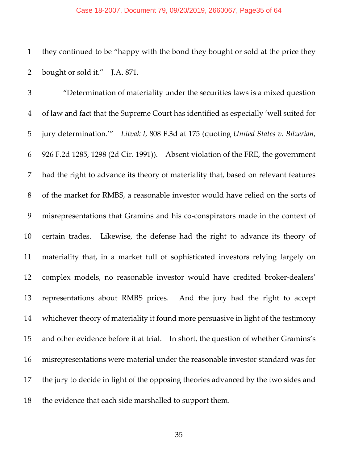#### Case 18-2007, Document 79, 09/20/2019, 2660067, Page35 of 64

 they continued to be "happy with the bond they bought or sold at the price they 2 bought or sold it." J.A. 871.

 "Determination of materiality under the securities laws is a mixed question of law and fact that the Supreme Court has identified as especially 'well suited for jury determination.'" *Litvak I*, 808 F.3d at 175 (quoting *United States v. Bilzerian*, 926 F.2d 1285, 1298 (2d Cir. 1991)). Absent violation of the FRE, the government had the right to advance its theory of materiality that, based on relevant features of the market for RMBS, a reasonable investor would have relied on the sorts of 9 misrepresentations that Gramins and his co-conspirators made in the context of certain trades. Likewise, the defense had the right to advance its theory of materiality that, in a market full of sophisticated investors relying largely on 12 complex models, no reasonable investor would have credited broker-dealers' representations about RMBS prices. And the jury had the right to accept whichever theory of materiality it found more persuasive in light of the testimony and other evidence before it at trial. In short, the question of whether Gramins's misrepresentations were material under the reasonable investor standard was for the jury to decide in light of the opposing theories advanced by the two sides and the evidence that each side marshalled to support them.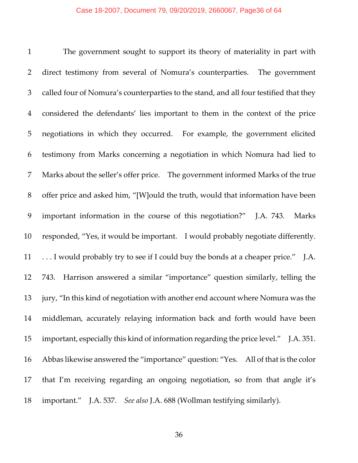#### Case 18-2007, Document 79, 09/20/2019, 2660067, Page36 of 64

 The government sought to support its theory of materiality in part with direct testimony from several of Nomura's counterparties. The government called four of Nomura's counterparties to the stand, and all four testified that they considered the defendants' lies important to them in the context of the price negotiations in which they occurred. For example, the government elicited testimony from Marks concerning a negotiation in which Nomura had lied to Marks about the seller's offer price. The government informed Marks of the true offer price and asked him, "[W]ould the truth, would that information have been important information in the course of this negotiation?" J.A. 743. Marks responded, "Yes, it would be important. I would probably negotiate differently. . . . I would probably try to see if I could buy the bonds at a cheaper price." J.A. 743. Harrison answered a similar "importance" question similarly, telling the jury, "In this kind of negotiation with another end account where Nomura was the middleman, accurately relaying information back and forth would have been important, especially this kind of information regarding the price level." J.A. 351. Abbas likewise answered the "importance" question: "Yes. All of that is the color that I'm receiving regarding an ongoing negotiation, so from that angle it's important." J.A. 537. *See also* J.A. 688 (Wollman testifying similarly).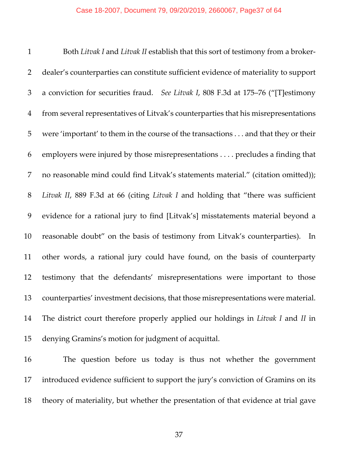Both *Litvak I* and *Litvak II* establish that this sort of testimony from a broker‐ dealer's counterparties can constitute sufficient evidence of materiality to support a conviction for securities fraud. *See Litvak I*, 808 F.3d at 175–76 ("[T]estimony from several representatives of Litvak's counterparties that his misrepresentations were 'important' to them in the course of the transactions . . . and that they or their employers were injured by those misrepresentations . . . . precludes a finding that no reasonable mind could find Litvak's statements material." (citation omitted)); *Litvak II*, 889 F.3d at 66 (citing *Litvak I* and holding that "there was sufficient evidence for a rational jury to find [Litvak's] misstatements material beyond a reasonable doubt" on the basis of testimony from Litvak's counterparties). In other words, a rational jury could have found, on the basis of counterparty testimony that the defendants' misrepresentations were important to those counterparties' investment decisions, that those misrepresentations were material. The district court therefore properly applied our holdings in *Litvak I* and *II* in denying Gramins's motion for judgment of acquittal.

 The question before us today is thus not whether the government introduced evidence sufficient to support the jury's conviction of Gramins on its theory of materiality, but whether the presentation of that evidence at trial gave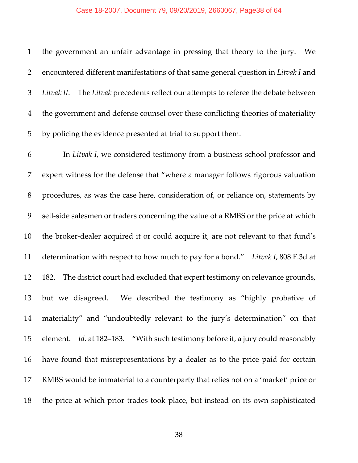#### Case 18-2007, Document 79, 09/20/2019, 2660067, Page38 of 64

 the government an unfair advantage in pressing that theory to the jury. We encountered different manifestations of that same general question in *Litvak I* and *Litvak II*. The *Litvak* precedents reflect our attempts to referee the debate between the government and defense counsel over these conflicting theories of materiality by policing the evidence presented at trial to support them. In *Litvak I*, we considered testimony from a business school professor and expert witness for the defense that "where a manager follows rigorous valuation

 procedures, as was the case here, consideration of, or reliance on, statements by 9 sell-side salesmen or traders concerning the value of a RMBS or the price at which 10 the broker-dealer acquired it or could acquire it, are not relevant to that fund's determination with respect to how much to pay for a bond." *Litvak I*, 808 F.3d at 12 182. The district court had excluded that expert testimony on relevance grounds, but we disagreed. We described the testimony as "highly probative of materiality" and "undoubtedly relevant to the jury's determination" on that element. *Id.* at 182–183. "With such testimony before it, a jury could reasonably have found that misrepresentations by a dealer as to the price paid for certain RMBS would be immaterial to a counterparty that relies not on a 'market' price or the price at which prior trades took place, but instead on its own sophisticated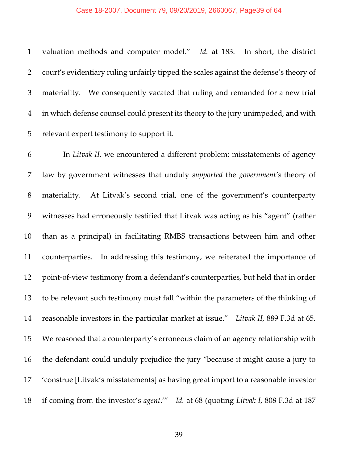#### Case 18-2007, Document 79, 09/20/2019, 2660067, Page39 of 64

 valuation methods and computer model." *Id.* at 183. In short, the district court's evidentiary ruling unfairly tipped the scales against the defense's theory of materiality. We consequently vacated that ruling and remanded for a new trial in which defense counsel could present its theory to the jury unimpeded, and with relevant expert testimony to support it.

 In *Litvak II*, we encountered a different problem: misstatements of agency law by government witnesses that unduly *supported* the *government's* theory of 8 materiality. At Litvak's second trial, one of the government's counterparty witnesses had erroneously testified that Litvak was acting as his "agent" (rather than as a principal) in facilitating RMBS transactions between him and other counterparties. In addressing this testimony, we reiterated the importance of 12 point-of-view testimony from a defendant's counterparties, but held that in order to be relevant such testimony must fall "within the parameters of the thinking of reasonable investors in the particular market at issue." *Litvak II*, 889 F.3d at 65. We reasoned that a counterparty's erroneous claim of an agency relationship with the defendant could unduly prejudice the jury "because it might cause a jury to 'construe [Litvak's misstatements] as having great import to a reasonable investor if coming from the investor's *agent*.'" *Id.* at 68 (quoting *Litvak I*, 808 F.3d at 187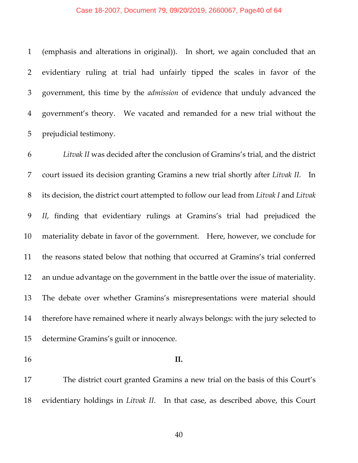#### Case 18-2007, Document 79, 09/20/2019, 2660067, Page40 of 64

 (emphasis and alterations in original)). In short, we again concluded that an evidentiary ruling at trial had unfairly tipped the scales in favor of the government, this time by the *admission* of evidence that unduly advanced the government's theory. We vacated and remanded for a new trial without the prejudicial testimony.

 *Litvak II* was decided after the conclusion of Gramins's trial, and the district court issued its decision granting Gramins a new trial shortly after *Litvak II*. In its decision, the district court attempted to follow our lead from *Litvak I* and *Litvak II*, finding that evidentiary rulings at Gramins's trial had prejudiced the materiality debate in favor of the government. Here, however, we conclude for the reasons stated below that nothing that occurred at Gramins's trial conferred an undue advantage on the government in the battle over the issue of materiality. The debate over whether Gramins's misrepresentations were material should therefore have remained where it nearly always belongs: with the jury selected to determine Gramins's guilt or innocence.

### **II.**

 The district court granted Gramins a new trial on the basis of this Court's evidentiary holdings in *Litvak II*. In that case, as described above, this Court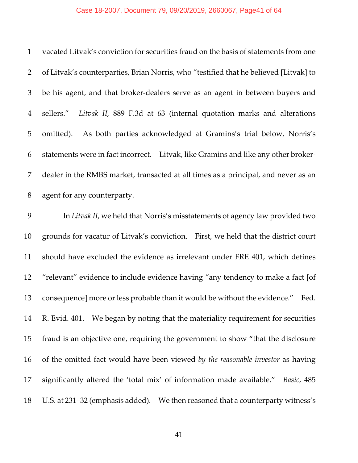#### Case 18-2007, Document 79, 09/20/2019, 2660067, Page41 of 64

| $\mathbf{1}$   | vacated Litvak's conviction for securities fraud on the basis of statements from one  |
|----------------|---------------------------------------------------------------------------------------|
| 2              | of Litvak's counterparties, Brian Norris, who "testified that he believed [Litvak] to |
| 3              | be his agent, and that broker-dealers serve as an agent in between buyers and         |
| $\overline{4}$ | sellers." Litvak II, 889 F.3d at 63 (internal quotation marks and alterations         |
| 5 <sup>5</sup> | As both parties acknowledged at Gramins's trial below, Norris's<br>omitted).          |
| 6              | statements were in fact incorrect. Litvak, like Gramins and like any other broker-    |
| 7              | dealer in the RMBS market, transacted at all times as a principal, and never as an    |
| 8              | agent for any counterparty.                                                           |

 In *Litvak II*, we held that Norris's misstatements of agency law provided two grounds for vacatur of Litvak's conviction. First, we held that the district court should have excluded the evidence as irrelevant under FRE 401, which defines "relevant" evidence to include evidence having "any tendency to make a fact [of consequence] more or less probable than it would be without the evidence." Fed. 14 R. Evid. 401. We began by noting that the materiality requirement for securities fraud is an objective one, requiring the government to show "that the disclosure of the omitted fact would have been viewed *by the reasonable investor* as having significantly altered the 'total mix' of information made available." *Basic*, 485 U.S. at 231–32 (emphasis added). We then reasoned that a counterparty witness's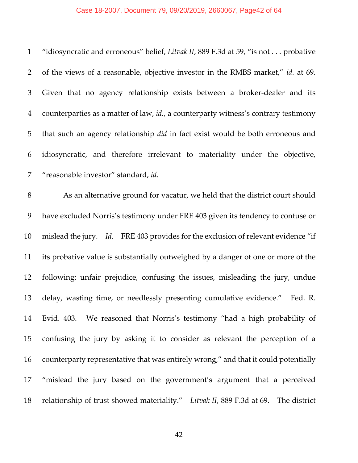# Case 18-2007, Document 79, 09/20/2019, 2660067, Page42 of 64

| $\mathbf{1}$   | "idiosyncratic and erroneous" belief, Litvak II, 889 F.3d at 59, "is not probative    |
|----------------|---------------------------------------------------------------------------------------|
| $\overline{2}$ | of the views of a reasonable, objective investor in the RMBS market," id. at 69.      |
| 3              | Given that no agency relationship exists between a broker-dealer and its              |
| $\overline{4}$ | counterparties as a matter of law, id., a counterparty witness's contrary testimony   |
| 5              | that such an agency relationship <i>did</i> in fact exist would be both erroneous and |
| 6              | idiosyncratic, and therefore irrelevant to materiality under the objective,           |
| 7              | "reasonable investor" standard, id.                                                   |
| $8\,$          | As an alternative ground for vacatur, we held that the district court should          |
| 9              | have excluded Norris's testimony under FRE 403 given its tendency to confuse or       |
| 10             | mislead the jury. Id. FRE 403 provides for the exclusion of relevant evidence "if     |
| 11             | its probative value is substantially outweighed by a danger of one or more of the     |
| 12             | following: unfair prejudice, confusing the issues, misleading the jury, undue         |
| 13             | delay, wasting time, or needlessly presenting cumulative evidence."<br>Fed. R.        |
| 14             | Evid. 403. We reasoned that Norris's testimony "had a high probability of             |
| 15             | confusing the jury by asking it to consider as relevant the perception of a           |
| 16             | counterparty representative that was entirely wrong," and that it could potentially   |
| 17             | "mislead the jury based on the government's argument that a perceived                 |
| 18             | relationship of trust showed materiality." Litvak II, 889 F.3d at 69. The district    |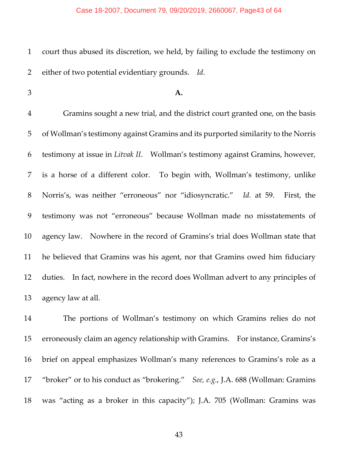court thus abused its discretion, we held, by failing to exclude the testimony on either of two potential evidentiary grounds. *Id.*

#### **A.**

 Gramins sought a new trial, and the district court granted one, on the basis of Wollman's testimony against Gramins and its purported similarity to the Norris testimony at issue in *Litvak II*. Wollman's testimony against Gramins, however, is a horse of a different color. To begin with, Wollman's testimony, unlike Norris's, was neither "erroneous" nor "idiosyncratic." *Id.* at 59. First, the testimony was not "erroneous" because Wollman made no misstatements of agency law. Nowhere in the record of Gramins's trial does Wollman state that he believed that Gramins was his agent, nor that Gramins owed him fiduciary duties. In fact, nowhere in the record does Wollman advert to any principles of agency law at all.

 The portions of Wollman's testimony on which Gramins relies do not erroneously claim an agency relationship with Gramins. For instance, Gramins's brief on appeal emphasizes Wollman's many references to Gramins's role as a "broker" or to his conduct as "brokering." *See, e.g.*, J.A. 688 (Wollman: Gramins was "acting as a broker in this capacity"); J.A. 705 (Wollman: Gramins was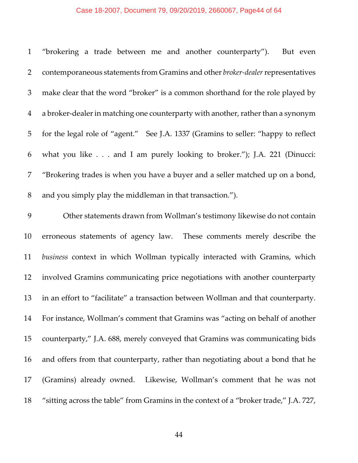# Case 18-2007, Document 79, 09/20/2019, 2660067, Page44 of 64

| $\mathbf{1}$   | "brokering a trade between me and another counterparty").<br>But even                 |
|----------------|---------------------------------------------------------------------------------------|
| $\overline{2}$ | contemporaneous statements from Gramins and other broker-dealer representatives       |
| 3              | make clear that the word "broker" is a common shorthand for the role played by        |
| $\overline{4}$ | a broker-dealer in matching one counterparty with another, rather than a synonym      |
| 5              | for the legal role of "agent." See J.A. 1337 (Gramins to seller: "happy to reflect    |
| 6              | what you like and I am purely looking to broker."); J.A. 221 (Dinucci:                |
| 7              | "Brokering trades is when you have a buyer and a seller matched up on a bond,         |
| 8              | and you simply play the middleman in that transaction.").                             |
| 9              | Other statements drawn from Wollman's testimony likewise do not contain               |
| 10             | erroneous statements of agency law. These comments merely describe the                |
| 11             | business context in which Wollman typically interacted with Gramins, which            |
| 12             | involved Gramins communicating price negotiations with another counterparty           |
| 13             | in an effort to "facilitate" a transaction between Wollman and that counterparty.     |
| 14             | For instance, Wollman's comment that Gramins was "acting on behalf of another         |
| 15             | counterparty," J.A. 688, merely conveyed that Gramins was communicating bids          |
| 16             | and offers from that counterparty, rather than negotiating about a bond that he       |
| 17             | (Gramins) already owned.<br>Likewise, Wollman's comment that he was not               |
| 18             | "sitting across the table" from Gramins in the context of a "broker trade," J.A. 727, |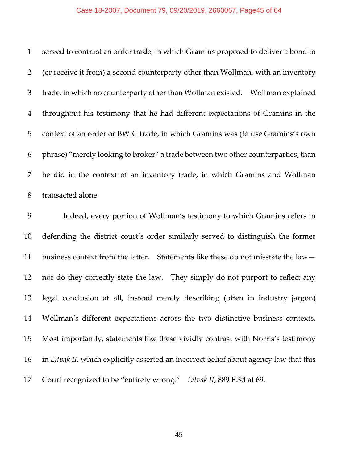#### Case 18-2007, Document 79, 09/20/2019, 2660067, Page45 of 64

 served to contrast an order trade, in which Gramins proposed to deliver a bond to (or receive it from) a second counterparty other than Wollman, with an inventory 3 trade, in which no counterparty other than Wollman existed. Wollman explained throughout his testimony that he had different expectations of Gramins in the context of an order or BWIC trade, in which Gramins was (to use Gramins's own phrase) "merely looking to broker" a trade between two other counterparties, than he did in the context of an inventory trade, in which Gramins and Wollman transacted alone.

 Indeed, every portion of Wollman's testimony to which Gramins refers in defending the district court's order similarly served to distinguish the former 11 business context from the latter. Statements like these do not misstate the law-12 nor do they correctly state the law. They simply do not purport to reflect any legal conclusion at all, instead merely describing (often in industry jargon) Wollman's different expectations across the two distinctive business contexts. Most importantly, statements like these vividly contrast with Norris's testimony in *Litvak II*, which explicitly asserted an incorrect belief about agency law that this Court recognized to be "entirely wrong." *Litvak II*, 889 F.3d at 69.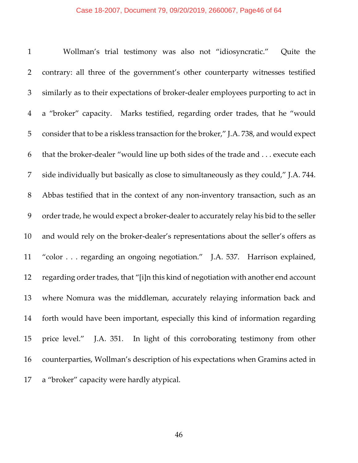#### Case 18-2007, Document 79, 09/20/2019, 2660067, Page46 of 64

 Wollman's trial testimony was also not "idiosyncratic." Quite the contrary: all three of the government's other counterparty witnesses testified similarly as to their expectations of broker‐dealer employees purporting to act in a "broker" capacity. Marks testified, regarding order trades, that he "would consider that to be a riskless transaction for the broker," J.A. 738, and would expect that the broker‐dealer "would line up both sides of the trade and . . . execute each side individually but basically as close to simultaneously as they could," J.A. 744. 8 Abbas testified that in the context of any non-inventory transaction, such as an 9 order trade, he would expect a broker-dealer to accurately relay his bid to the seller 10 and would rely on the broker-dealer's representations about the seller's offers as "color . . . regarding an ongoing negotiation." J.A. 537. Harrison explained, 12 regarding order trades, that "[i]n this kind of negotiation with another end account where Nomura was the middleman, accurately relaying information back and forth would have been important, especially this kind of information regarding 15 price level." J.A. 351. In light of this corroborating testimony from other counterparties, Wollman's description of his expectations when Gramins acted in a "broker" capacity were hardly atypical.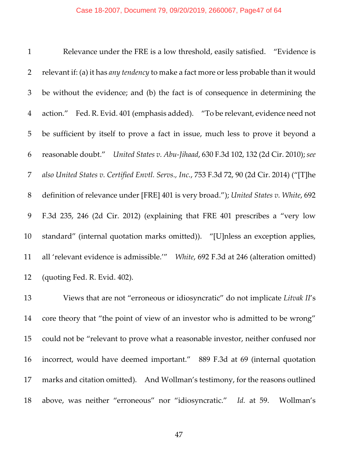| $\mathbf{1}$   | Relevance under the FRE is a low threshold, easily satisfied. "Evidence is                  |
|----------------|---------------------------------------------------------------------------------------------|
| $\overline{2}$ | relevant if: (a) it has any tendency to make a fact more or less probable than it would     |
| 3              | be without the evidence; and (b) the fact is of consequence in determining the              |
| $\overline{4}$ | action." Fed. R. Evid. 401 (emphasis added). "To be relevant, evidence need not             |
| 5              | be sufficient by itself to prove a fact in issue, much less to prove it beyond a            |
| 6              | reasonable doubt." United States v. Abu-Jihaad, 630 F.3d 102, 132 (2d Cir. 2010); see       |
| 7              | also United States v. Certified Envtl. Servs., Inc., 753 F.3d 72, 90 (2d Cir. 2014) ("[T]he |
| 8              | definition of relevance under [FRE] 401 is very broad."); United States v. White, 692       |
| 9              | F.3d 235, 246 (2d Cir. 2012) (explaining that FRE 401 prescribes a "very low                |
| 10             | standard" (internal quotation marks omitted)). "[U]nless an exception applies,              |
| 11             | all 'relevant evidence is admissible.'" White, 692 F.3d at 246 (alteration omitted)         |
| 12             | (quoting Fed. R. Evid. 402).                                                                |

 Views that are not "erroneous or idiosyncratic" do not implicate *Litvak II*'s core theory that "the point of view of an investor who is admitted to be wrong" could not be "relevant to prove what a reasonable investor, neither confused nor incorrect, would have deemed important." 889 F.3d at 69 (internal quotation marks and citation omitted). And Wollman's testimony, for the reasons outlined above, was neither "erroneous" nor "idiosyncratic." *Id.* at 59. Wollman's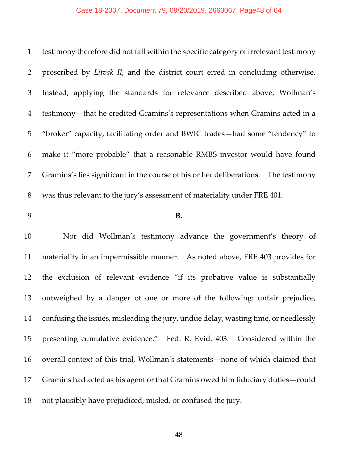testimony therefore did not fall within the specific category of irrelevant testimony proscribed by *Litvak II*, and the district court erred in concluding otherwise. Instead, applying the standards for relevance described above, Wollman's testimony—that he credited Gramins's representations when Gramins acted in a "broker" capacity, facilitating order and BWIC trades—had some "tendency" to make it "more probable" that a reasonable RMBS investor would have found Gramins's lies significant in the course of his or her deliberations. The testimony was thus relevant to the jury's assessment of materiality under FRE 401. **B.** Nor did Wollman's testimony advance the government's theory of materiality in an impermissible manner. As noted above, FRE 403 provides for the exclusion of relevant evidence "if its probative value is substantially outweighed by a danger of one or more of the following: unfair prejudice, confusing the issues, misleading the jury, undue delay, wasting time, or needlessly presenting cumulative evidence." Fed. R. Evid. 403. Considered within the overall context of this trial, Wollman's statements—none of which claimed that Gramins had acted as his agent or that Gramins owed him fiduciary duties—could not plausibly have prejudiced, misled, or confused the jury.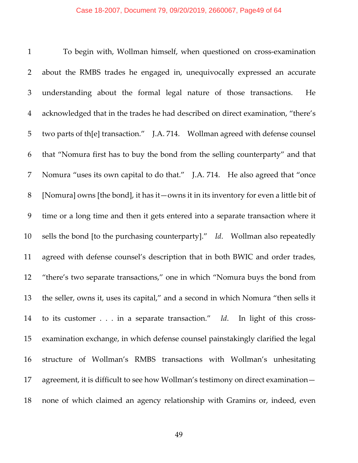To begin with, Wollman himself, when questioned on cross‐examination about the RMBS trades he engaged in, unequivocally expressed an accurate understanding about the formal legal nature of those transactions. He acknowledged that in the trades he had described on direct examination, "there's two parts of th[e] transaction." J.A. 714. Wollman agreed with defense counsel that "Nomura first has to buy the bond from the selling counterparty" and that Nomura "uses its own capital to do that." J.A. 714. He also agreed that "once [Nomura] owns [the bond], it has it—owns it in its inventory for even a little bit of time or a long time and then it gets entered into a separate transaction where it sells the bond [to the purchasing counterparty]." *Id*. Wollman also repeatedly agreed with defense counsel's description that in both BWIC and order trades, "there's two separate transactions," one in which "Nomura buys the bond from the seller, owns it, uses its capital," and a second in which Nomura "then sells it 14 to its customer . . . in a separate transaction." Id. In light of this cross- examination exchange, in which defense counsel painstakingly clarified the legal structure of Wollman's RMBS transactions with Wollman's unhesitating agreement, it is difficult to see how Wollman's testimony on direct examination— none of which claimed an agency relationship with Gramins or, indeed, even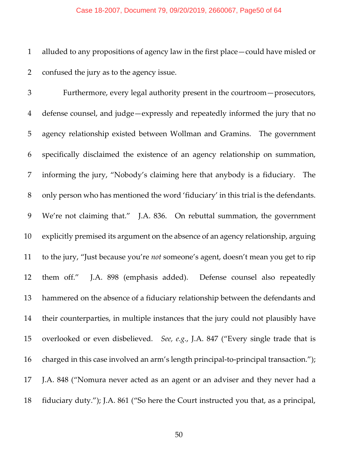### Case 18-2007, Document 79, 09/20/2019, 2660067, Page50 of 64

 alluded to any propositions of agency law in the first place—could have misled or confused the jury as to the agency issue.

 Furthermore, every legal authority present in the courtroom—prosecutors, defense counsel, and judge—expressly and repeatedly informed the jury that no agency relationship existed between Wollman and Gramins. The government specifically disclaimed the existence of an agency relationship on summation, informing the jury, "Nobody's claiming here that anybody is a fiduciary. The only person who has mentioned the word 'fiduciary' in this trial is the defendants. We're not claiming that." J.A. 836. On rebuttal summation, the government explicitly premised its argument on the absence of an agency relationship, arguing to the jury, "Just because you're *not* someone's agent, doesn't mean you get to rip 12 them off." J.A. 898 (emphasis added). Defense counsel also repeatedly hammered on the absence of a fiduciary relationship between the defendants and their counterparties, in multiple instances that the jury could not plausibly have overlooked or even disbelieved. *See, e.g.*, J.A. 847 ("Every single trade that is 16 charged in this case involved an arm's length principal-to-principal transaction."); J.A. 848 ("Nomura never acted as an agent or an adviser and they never had a fiduciary duty."); J.A. 861 ("So here the Court instructed you that, as a principal,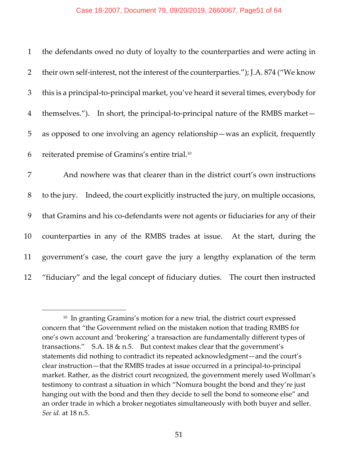#### Case 18-2007, Document 79, 09/20/2019, 2660067, Page51 of 64

| $\mathbf{1}$   | the defendants owed no duty of loyalty to the counterparties and were acting in        |
|----------------|----------------------------------------------------------------------------------------|
| $\overline{2}$ | their own self-interest, not the interest of the counterparties."); J.A. 874 ("We know |
| 3              | this is a principal-to-principal market, you've heard it several times, everybody for  |
| $\overline{4}$ | themselves."). In short, the principal-to-principal nature of the RMBS market—         |
| 5              | as opposed to one involving an agency relationship—was an explicit, frequently         |
| 6              | reiterated premise of Gramins's entire trial. <sup>10</sup>                            |
| 7              | And nowhere was that clearer than in the district court's own instructions             |
| $8\,$          | to the jury. Indeed, the court explicitly instructed the jury, on multiple occasions,  |
| 9              | that Gramins and his co-defendants were not agents or fiduciaries for any of their     |
| 10             | counterparties in any of the RMBS trades at issue. At the start, during the            |
| 11             | government's case, the court gave the jury a lengthy explanation of the term           |
| 12             | "fiduciary" and the legal concept of fiduciary duties. The court then instructed       |

<sup>&</sup>lt;sup>10</sup> In granting Gramins's motion for a new trial, the district court expressed concern that "the Government relied on the mistaken notion that trading RMBS for one's own account and 'brokering' a transaction are fundamentally different types of transactions." S.A. 18  $\&$  n.5. But context makes clear that the government's statements did nothing to contradict its repeated acknowledgment—and the court's clear instruction—that the RMBS trades at issue occurred in a principal‐to‐principal market. Rather, as the district court recognized, the government merely used Wollman's testimony to contrast a situation in which "Nomura bought the bond and they're just hanging out with the bond and then they decide to sell the bond to someone else" and an order trade in which a broker negotiates simultaneously with both buyer and seller. *See id.* at 18 n.5.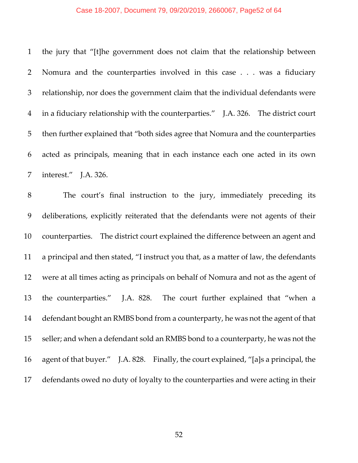### Case 18-2007, Document 79, 09/20/2019, 2660067, Page52 of 64

| $\mathbf{1}$   | the jury that "[t]he government does not claim that the relationship between          |
|----------------|---------------------------------------------------------------------------------------|
| 2              | Nomura and the counterparties involved in this case was a fiduciary                   |
| $\mathfrak{Z}$ | relationship, nor does the government claim that the individual defendants were       |
| $\overline{4}$ | in a fiduciary relationship with the counterparties." J.A. 326. The district court    |
| 5              | then further explained that "both sides agree that Nomura and the counterparties      |
| 6              | acted as principals, meaning that in each instance each one acted in its own          |
| 7              | interest." J.A. 326.                                                                  |
| $8\,$          | The court's final instruction to the jury, immediately preceding its                  |
| 9              | deliberations, explicitly reiterated that the defendants were not agents of their     |
| 10             | counterparties. The district court explained the difference between an agent and      |
| 11             | a principal and then stated, "I instruct you that, as a matter of law, the defendants |
| 12             | were at all times acting as principals on behalf of Nomura and not as the agent of    |
| 13             | the counterparties." J.A. 828. The court further explained that "when a               |
| 14             | defendant bought an RMBS bond from a counterparty, he was not the agent of that       |
| 15             | seller; and when a defendant sold an RMBS bond to a counterparty, he was not the      |
| 16             | agent of that buyer." J.A. 828. Finally, the court explained, "[a]s a principal, the  |
| 17             | defendants owed no duty of loyalty to the counterparties and were acting in their     |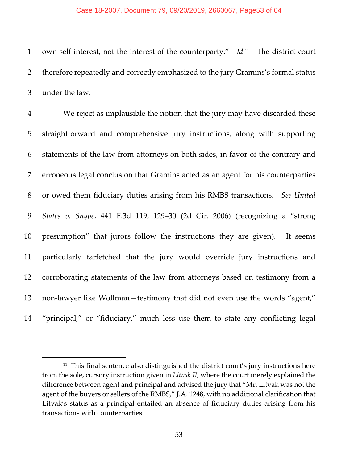#### Case 18-2007, Document 79, 09/20/2019, 2660067, Page53 of 64

1 own self-interest, not the interest of the counterparty." Id.<sup>11</sup> The district court therefore repeatedly and correctly emphasized to the jury Gramins's formal status under the law.

 We reject as implausible the notion that the jury may have discarded these straightforward and comprehensive jury instructions, along with supporting statements of the law from attorneys on both sides, in favor of the contrary and erroneous legal conclusion that Gramins acted as an agent for his counterparties or owed them fiduciary duties arising from his RMBS transactions. *See United States v. Snype*, 441 F.3d 119, 129–30 (2d Cir. 2006) (recognizing a "strong presumption" that jurors follow the instructions they are given). It seems particularly farfetched that the jury would override jury instructions and corroborating statements of the law from attorneys based on testimony from a 13 non-lawyer like Wollman—testimony that did not even use the words "agent," "principal," or "fiduciary," much less use them to state any conflicting legal

 This final sentence also distinguished the district court's jury instructions here from the sole, cursory instruction given in *Litvak II*, where the court merely explained the difference between agent and principal and advised the jury that "Mr. Litvak was not the agent of the buyers or sellers of the RMBS," J.A. 1248, with no additional clarification that Litvak's status as a principal entailed an absence of fiduciary duties arising from his transactions with counterparties.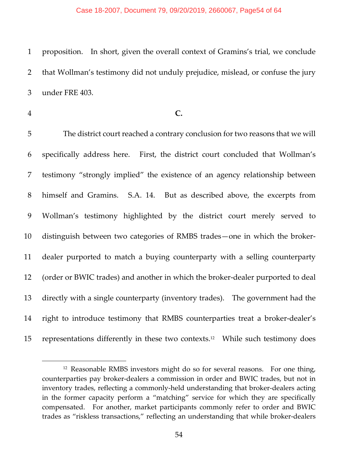#### Case 18-2007, Document 79, 09/20/2019, 2660067, Page54 of 64

1 proposition. In short, given the overall context of Gramins's trial, we conclude 2 that Wollman's testimony did not unduly prejudice, mislead, or confuse the jury 3 under FRE 403.

 $\overline{a}$ 

4 **C.**

 The district court reached a contrary conclusion for two reasons that we will specifically address here. First, the district court concluded that Wollman's testimony "strongly implied" the existence of an agency relationship between 8 himself and Gramins. S.A. 14. But as described above, the excerpts from Wollman's testimony highlighted by the district court merely served to distinguish between two categories of RMBS trades—one in which the broker‐ dealer purported to match a buying counterparty with a selling counterparty 12 (order or BWIC trades) and another in which the broker-dealer purported to deal directly with a single counterparty (inventory trades). The government had the right to introduce testimony that RMBS counterparties treat a broker‐dealer's 15 representations differently in these two contexts.<sup>12</sup> While such testimony does

 $12$  Reasonable RMBS investors might do so for several reasons. For one thing, counterparties pay broker‐dealers a commission in order and BWIC trades, but not in inventory trades, reflecting a commonly‐held understanding that broker‐dealers acting in the former capacity perform a "matching" service for which they are specifically compensated. For another, market participants commonly refer to order and BWIC trades as "riskless transactions," reflecting an understanding that while broker‐dealers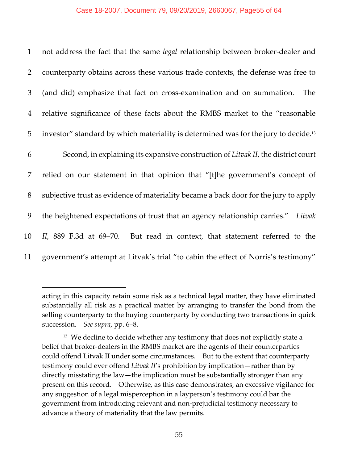#### Case 18-2007, Document 79, 09/20/2019, 2660067, Page55 of 64

| $\mathbf{1}$   | not address the fact that the same <i>legal</i> relationship between broker-dealer and          |
|----------------|-------------------------------------------------------------------------------------------------|
| 2              | counterparty obtains across these various trade contexts, the defense was free to               |
| 3              | (and did) emphasize that fact on cross-examination and on summation.<br><b>The</b>              |
| $\overline{4}$ | relative significance of these facts about the RMBS market to the "reasonable                   |
| 5              | investor" standard by which materiality is determined was for the jury to decide. <sup>13</sup> |
| 6              | Second, in explaining its expansive construction of Litvak II, the district court               |
| 7              | relied on our statement in that opinion that "[t]he government's concept of                     |
| 8              | subjective trust as evidence of materiality became a back door for the jury to apply            |
| 9              | the heightened expectations of trust that an agency relationship carries." Litvak               |
| 10             | II, 889 F.3d at 69–70. But read in context, that statement referred to the                      |
| 11             | government's attempt at Litvak's trial "to cabin the effect of Norris's testimony"              |

acting in this capacity retain some risk as a technical legal matter, they have eliminated substantially all risk as a practical matter by arranging to transfer the bond from the selling counterparty to the buying counterparty by conducting two transactions in quick succession. *See supra*, pp. 6–8.

<sup>&</sup>lt;sup>13</sup> We decline to decide whether any testimony that does not explicitly state a belief that broker‐dealers in the RMBS market are the agents of their counterparties could offend Litvak II under some circumstances. But to the extent that counterparty testimony could ever offend *Litvak II*'s prohibition by implication—rather than by directly misstating the law—the implication must be substantially stronger than any present on this record. Otherwise, as this case demonstrates, an excessive vigilance for any suggestion of a legal misperception in a layperson's testimony could bar the government from introducing relevant and non‐prejudicial testimony necessary to advance a theory of materiality that the law permits.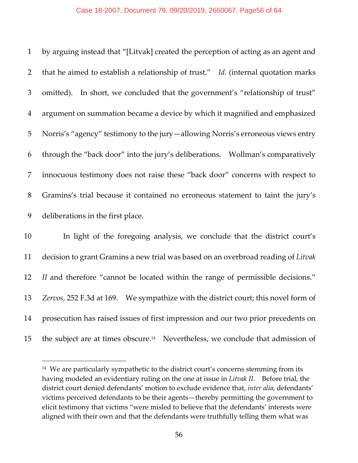| $\mathbf{1}$   | by arguing instead that "[Litvak] created the perception of acting as an agent and |
|----------------|------------------------------------------------------------------------------------|
| $2^{\circ}$    | that he aimed to establish a relationship of trust." Id. (internal quotation marks |
| 3              | omitted). In short, we concluded that the government's "relationship of trust"     |
| $\overline{4}$ | argument on summation became a device by which it magnified and emphasized         |
| 5              | Norris's "agency" testimony to the jury—allowing Norris's erroneous views entry    |
| 6              | through the "back door" into the jury's deliberations.  Wollman's comparatively    |
| 7              | innocuous testimony does not raise these "back door" concerns with respect to      |
| 8              | Gramins's trial because it contained no erroneous statement to taint the jury's    |
| 9              | deliberations in the first place.                                                  |

 In light of the foregoing analysis, we conclude that the district court's decision to grant Gramins a new trial was based on an overbroad reading of *Litvak II* and therefore "cannot be located within the range of permissible decisions." *Zervos*, 252 F.3d at 169. We sympathize with the district court; this novel form of prosecution has raised issues of first impression and our two prior precedents on 15 the subject are at times obscure.<sup>14</sup> Nevertheless, we conclude that admission of

<sup>&</sup>lt;sup>14</sup> We are particularly sympathetic to the district court's concerns stemming from its having modeled an evidentiary ruling on the one at issue in *Litvak II*. Before trial, the district court denied defendants' motion to exclude evidence that, *inter alia*, defendants' victims perceived defendants to be their agents—thereby permitting the government to elicit testimony that victims "were misled to believe that the defendants' interests were aligned with their own and that the defendants were truthfully telling them what was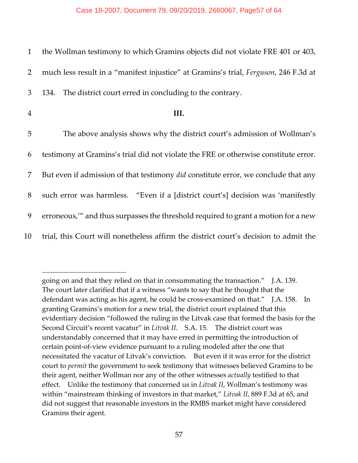| 1              | the Wollman testimony to which Gramins objects did not violate FRE 401 or 403,            |
|----------------|-------------------------------------------------------------------------------------------|
| $\overline{2}$ | much less result in a "manifest injustice" at Gramins's trial, Ferguson, 246 F.3d at      |
| 3              | The district court erred in concluding to the contrary.<br>134.                           |
| $\overline{4}$ | III.                                                                                      |
| 5              | The above analysis shows why the district court's admission of Wollman's                  |
| 6              | testimony at Gramins's trial did not violate the FRE or otherwise constitute error.       |
| 7              | But even if admission of that testimony <i>did</i> constitute error, we conclude that any |
| 8              | such error was harmless. "Even if a [district court's] decision was 'manifestly           |
| 9              | erroneous," and thus surpasses the threshold required to grant a motion for a new         |
| 10             | trial, this Court will nonetheless affirm the district court's decision to admit the      |

going on and that they relied on that in consummating the transaction." J.A. 139. The court later clarified that if a witness "wants to say that he thought that the defendant was acting as his agent, he could be cross-examined on that." J.A. 158. In granting Gramins's motion for a new trial, the district court explained that this evidentiary decision "followed the ruling in the Litvak case that formed the basis for the Second Circuit's recent vacatur" in *Litvak II*. S.A. 15. The district court was understandably concerned that it may have erred in permitting the introduction of certain point‐of‐view evidence pursuant to a ruling modeled after the one that necessitated the vacatur of Litvak's conviction. But even if it was error for the district court to *permit* the government to seek testimony that witnesses believed Gramins to be their agent, neither Wollman nor any of the other witnesses *actually* testified to that effect. Unlike the testimony that concerned us in *Litvak II*, Wollman's testimony was within "mainstream thinking of investors in that market," *Litvak II*, 889 F.3d at 65, and did not suggest that reasonable investors in the RMBS market might have considered Gramins their agent.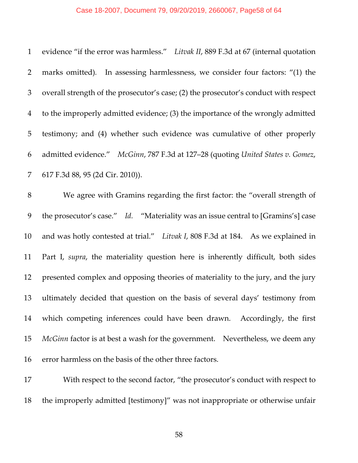### Case 18-2007, Document 79, 09/20/2019, 2660067, Page58 of 64

| $\mathbf{1}$   | evidence "if the error was harmless." Litvak II, 889 F.3d at 67 (internal quotation  |
|----------------|--------------------------------------------------------------------------------------|
| $\overline{2}$ | marks omitted). In assessing harmlessness, we consider four factors: "(1) the        |
| $\mathfrak{Z}$ | overall strength of the prosecutor's case; (2) the prosecutor's conduct with respect |
| $\overline{4}$ | to the improperly admitted evidence; (3) the importance of the wrongly admitted      |
| 5              | testimony; and (4) whether such evidence was cumulative of other properly            |
| 6              | admitted evidence." McGinn, 787 F.3d at 127-28 (quoting United States v. Gomez,      |
| 7              | 617 F.3d 88, 95 (2d Cir. 2010)).                                                     |
| $8\,$          | We agree with Gramins regarding the first factor: the "overall strength of           |
| 9              | the prosecutor's case." Id. "Materiality was an issue central to [Gramins's] case    |
| 10             | and was hotly contested at trial." Litvak I, 808 F.3d at 184. As we explained in     |
| 11             | Part I, supra, the materiality question here is inherently difficult, both sides     |
| 12             | presented complex and opposing theories of materiality to the jury, and the jury     |
| 13             | ultimately decided that question on the basis of several days' testimony from        |
| 14             | which competing inferences could have been drawn. Accordingly, the first             |
| 15             | <i>McGinn</i> factor is at best a wash for the government. Nevertheless, we deem any |
| 16             | error harmless on the basis of the other three factors.                              |
| 17             | With respect to the second factor, "the prosecutor's conduct with respect to         |

the improperly admitted [testimony]" was not inappropriate or otherwise unfair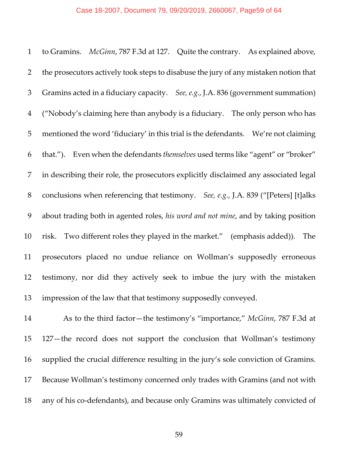| $\mathbf{1}$   | to Gramins. McGinn, 787 F.3d at 127. Quite the contrary. As explained above,         |
|----------------|--------------------------------------------------------------------------------------|
| $\overline{2}$ | the prosecutors actively took steps to disabuse the jury of any mistaken notion that |
| $\mathfrak{Z}$ | Gramins acted in a fiduciary capacity. See, e.g., J.A. 836 (government summation)    |
| $\overline{4}$ | ("Nobody's claiming here than anybody is a fiduciary. The only person who has        |
| 5              | mentioned the word 'fiduciary' in this trial is the defendants. We're not claiming   |
| 6              | that."). Even when the defendants themselves used terms like "agent" or "broker"     |
| $\overline{7}$ | in describing their role, the prosecutors explicitly disclaimed any associated legal |
| $8\,$          | conclusions when referencing that testimony. See, e.g., J.A. 839 ("[Peters] [t]alks  |
| 9              | about trading both in agented roles, his word and not mine, and by taking position   |
| 10             | risk. Two different roles they played in the market." (emphasis added)). The         |
| 11             | prosecutors placed no undue reliance on Wollman's supposedly erroneous               |
| 12             | testimony, nor did they actively seek to imbue the jury with the mistaken            |
| 13             | impression of the law that that testimony supposedly conveyed.                       |

 As to the third factor—the testimony's "importance," *McGinn*, 787 F.3d at 127—the record does not support the conclusion that Wollman's testimony supplied the crucial difference resulting in the jury's sole conviction of Gramins. Because Wollman's testimony concerned only trades with Gramins (and not with 18 any of his co-defendants), and because only Gramins was ultimately convicted of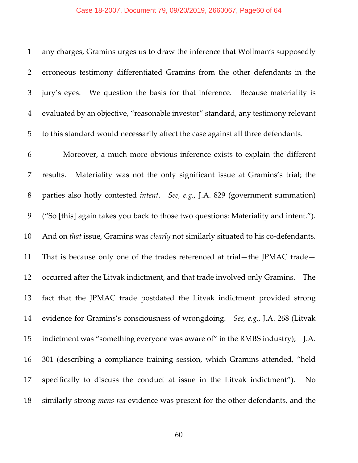# Case 18-2007, Document 79, 09/20/2019, 2660067, Page60 of 64

| $\mathbf{1}$   | any charges, Gramins urges us to draw the inference that Wollman's supposedly              |
|----------------|--------------------------------------------------------------------------------------------|
| $\overline{2}$ | erroneous testimony differentiated Gramins from the other defendants in the                |
| 3              | We question the basis for that inference. Because materiality is<br>jury's eyes.           |
| $\overline{4}$ | evaluated by an objective, "reasonable investor" standard, any testimony relevant          |
| 5              | to this standard would necessarily affect the case against all three defendants.           |
| 6              | Moreover, a much more obvious inference exists to explain the different                    |
| 7              | Materiality was not the only significant issue at Gramins's trial; the<br>results.         |
| 8              | parties also hotly contested <i>intent.</i> See, e.g., J.A. 829 (government summation)     |
| 9              | ("So [this] again takes you back to those two questions: Materiality and intent.").        |
| 10             | And on that issue, Gramins was <i>clearly</i> not similarly situated to his co-defendants. |
| 11             | That is because only one of the trades referenced at trial-the JPMAC trade-                |
| 12             | occurred after the Litvak indictment, and that trade involved only Gramins.<br><b>The</b>  |
| 13             | fact that the JPMAC trade postdated the Litvak indictment provided strong                  |
| 14             | evidence for Gramins's consciousness of wrongdoing. See, e.g., J.A. 268 (Litvak            |
| 15             | indictment was "something everyone was aware of" in the RMBS industry); J.A.               |
| 16             | 301 (describing a compliance training session, which Gramins attended, "held               |
| 17             | specifically to discuss the conduct at issue in the Litvak indictment").<br>N <sub>0</sub> |
| 18             | similarly strong <i>mens rea</i> evidence was present for the other defendants, and the    |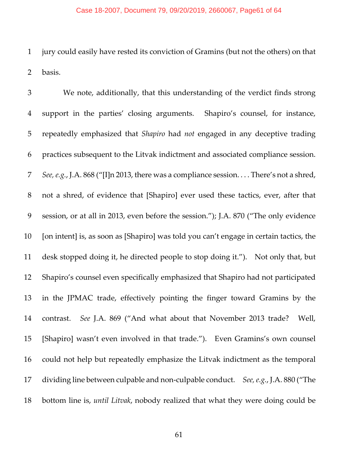#### Case 18-2007, Document 79, 09/20/2019, 2660067, Page61 of 64

 jury could easily have rested its conviction of Gramins (but not the others) on that basis.

 We note, additionally, that this understanding of the verdict finds strong support in the parties' closing arguments. Shapiro's counsel, for instance, repeatedly emphasized that *Shapiro* had *not* engaged in any deceptive trading practices subsequent to the Litvak indictment and associated compliance session. *See,e.g.*, J.A. 868 ("[I]n 2013, there was a compliance session. . . . There's not a shred, not a shred, of evidence that [Shapiro] ever used these tactics, ever, after that session, or at all in 2013, even before the session."); J.A. 870 ("The only evidence [on intent] is, as soon as [Shapiro] was told you can't engage in certain tactics, the desk stopped doing it, he directed people to stop doing it."). Not only that, but Shapiro's counsel even specifically emphasized that Shapiro had not participated in the JPMAC trade, effectively pointing the finger toward Gramins by the contrast. *See* J.A. 869 ("And what about that November 2013 trade? Well, [Shapiro] wasn't even involved in that trade."). Even Gramins's own counsel could not help but repeatedly emphasize the Litvak indictment as the temporal dividing line between culpable and non‐culpable conduct. *See,e.g.*, J.A. 880 ("The bottom line is, *until Litvak*, nobody realized that what they were doing could be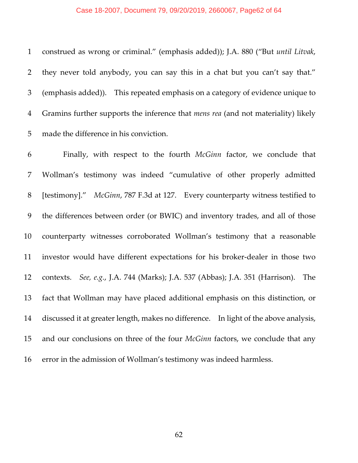#### Case 18-2007, Document 79, 09/20/2019, 2660067, Page62 of 64

 construed as wrong or criminal." (emphasis added)); J.A. 880 ("But *until Litvak*, they never told anybody, you can say this in a chat but you can't say that." (emphasis added)). This repeated emphasis on a category of evidence unique to Gramins further supports the inference that *mens rea* (and not materiality) likely made the difference in his conviction.

 Finally, with respect to the fourth *McGinn* factor, we conclude that Wollman's testimony was indeed "cumulative of other properly admitted [testimony]." *McGinn*, 787 F.3d at 127. Every counterparty witness testified to the differences between order (or BWIC) and inventory trades, and all of those counterparty witnesses corroborated Wollman's testimony that a reasonable investor would have different expectations for his broker‐dealer in those two contexts. *See, e.g.*, J.A. 744 (Marks); J.A. 537 (Abbas); J.A. 351 (Harrison). The fact that Wollman may have placed additional emphasis on this distinction, or discussed it at greater length, makes no difference. In light of the above analysis, and our conclusions on three of the four *McGinn* factors, we conclude that any error in the admission of Wollman's testimony was indeed harmless.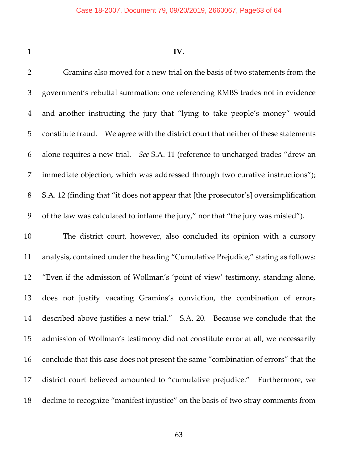### **IV.**

 Gramins also moved for a new trial on the basis of two statements from the government's rebuttal summation: one referencing RMBS trades not in evidence and another instructing the jury that "lying to take people's money" would constitute fraud. We agree with the district court that neither of these statements alone requires a new trial. *See* S.A. 11 (reference to uncharged trades "drew an immediate objection, which was addressed through two curative instructions"); S.A. 12 (finding that "it does not appear that [the prosecutor's] oversimplification of the law was calculated to inflame the jury," nor that "the jury was misled"). The district court, however, also concluded its opinion with a cursory analysis, contained under the heading "Cumulative Prejudice," stating as follows: "Even if the admission of Wollman's 'point of view' testimony, standing alone, does not justify vacating Gramins's conviction, the combination of errors described above justifies a new trial." S.A. 20. Because we conclude that the admission of Wollman's testimony did not constitute error at all, we necessarily conclude that this case does not present the same "combination of errors" that the district court believed amounted to "cumulative prejudice." Furthermore, we decline to recognize "manifest injustice" on the basis of two stray comments from